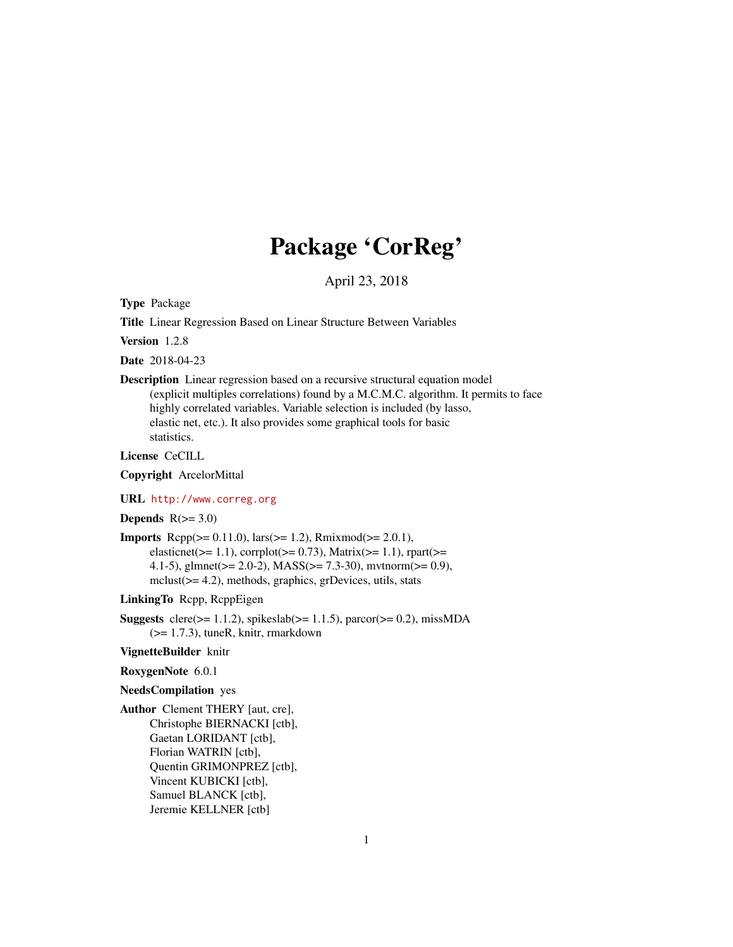# Package 'CorReg'

April 23, 2018

Type Package

Title Linear Regression Based on Linear Structure Between Variables

Version 1.2.8

Date 2018-04-23

Description Linear regression based on a recursive structural equation model (explicit multiples correlations) found by a M.C.M.C. algorithm. It permits to face highly correlated variables. Variable selection is included (by lasso, elastic net, etc.). It also provides some graphical tools for basic statistics.

License CeCILL

Copyright ArcelorMittal

URL <http://www.correg.org>

Depends  $R(>= 3.0)$ 

**Imports** Rcpp( $>= 0.11.0$ ), lars( $>= 1.2$ ), Rmixmod( $>= 2.0.1$ ), elasticnet( $>= 1.1$ ), corrplot( $>= 0.73$ ), Matrix( $>= 1.1$ ), rpart( $>=$ 4.1-5), glmnet(>= 2.0-2), MASS(>= 7.3-30), mvtnorm(>= 0.9), mclust(>= 4.2), methods, graphics, grDevices, utils, stats

LinkingTo Rcpp, RcppEigen

Suggests clere( $>= 1.1.2$ ), spikeslab( $>= 1.1.5$ ), parcor( $>= 0.2$ ), missMDA (>= 1.7.3), tuneR, knitr, rmarkdown

#### VignetteBuilder knitr

#### RoxygenNote 6.0.1

## NeedsCompilation yes

Author Clement THERY [aut, cre], Christophe BIERNACKI [ctb], Gaetan LORIDANT [ctb], Florian WATRIN [ctb], Quentin GRIMONPREZ [ctb], Vincent KUBICKI [ctb], Samuel BLANCK [ctb], Jeremie KELLNER [ctb]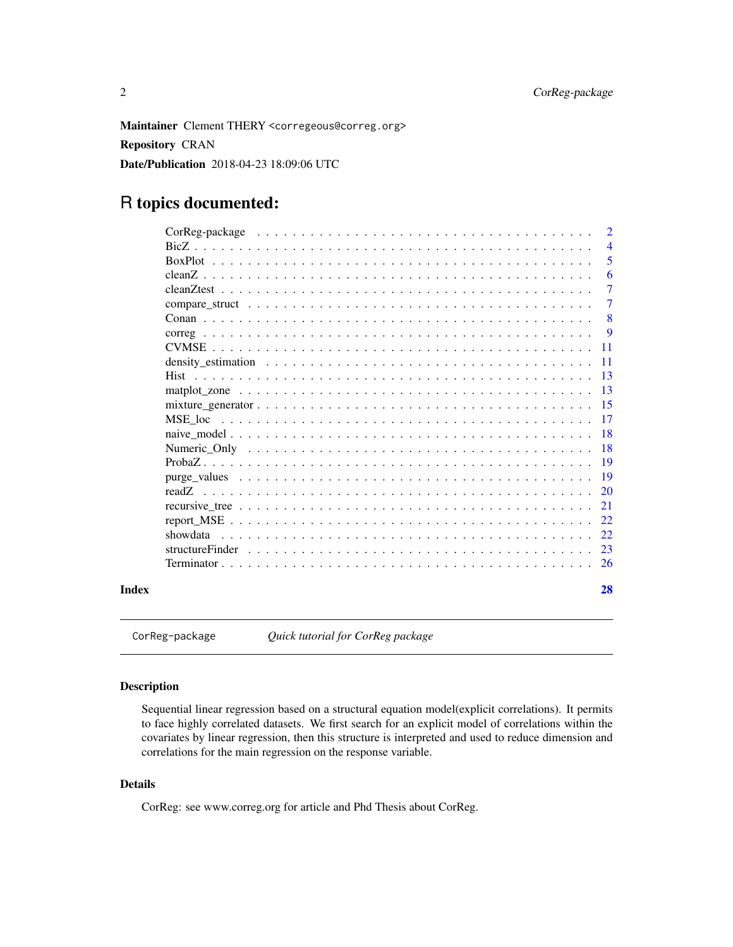<span id="page-1-0"></span>Maintainer Clement THERY <corregeous@correg.org> Repository CRAN Date/Publication 2018-04-23 18:09:06 UTC

## R topics documented:

|       | $\overline{4}$ |
|-------|----------------|
|       | $\overline{5}$ |
|       | -6             |
|       | $\overline{7}$ |
|       | $\overline{7}$ |
|       |                |
|       |                |
|       |                |
|       |                |
|       |                |
|       |                |
|       |                |
|       |                |
|       |                |
|       |                |
|       |                |
|       |                |
|       |                |
|       |                |
|       |                |
|       |                |
|       |                |
|       |                |
| Index | 28             |

CorReg-package *Quick tutorial for CorReg package*

## Description

Sequential linear regression based on a structural equation model(explicit correlations). It permits to face highly correlated datasets. We first search for an explicit model of correlations within the covariates by linear regression, then this structure is interpreted and used to reduce dimension and correlations for the main regression on the response variable.

## Details

CorReg: see www.correg.org for article and Phd Thesis about CorReg.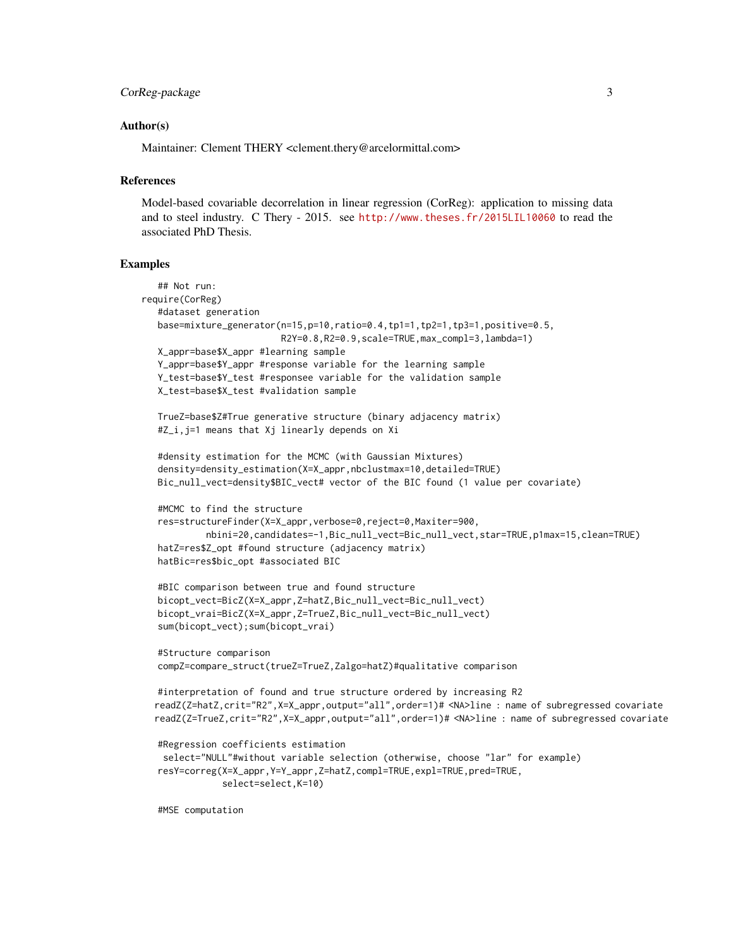```
CorReg-package 3
```
#### Author(s)

Maintainer: Clement THERY <clement.thery@arcelormittal.com>

#### References

Model-based covariable decorrelation in linear regression (CorReg): application to missing data and to steel industry. C Thery - 2015. see <http://www.theses.fr/2015LIL10060> to read the associated PhD Thesis.

#### Examples

```
## Not run:
require(CorReg)
   #dataset generation
   base=mixture_generator(n=15,p=10,ratio=0.4,tp1=1,tp2=1,tp3=1,positive=0.5,
                          R2Y=0.8,R2=0.9,scale=TRUE,max_compl=3,lambda=1)
  X_appr=base$X_appr #learning sample
   Y_appr=base$Y_appr #response variable for the learning sample
   Y_test=base$Y_test #responsee variable for the validation sample
  X_test=base$X_test #validation sample
  TrueZ=base$Z#True generative structure (binary adjacency matrix)
   #Z_i,j=1 means that Xj linearly depends on Xi
   #density estimation for the MCMC (with Gaussian Mixtures)
  density=density_estimation(X=X_appr,nbclustmax=10,detailed=TRUE)
  Bic_null_vect=density$BIC_vect# vector of the BIC found (1 value per covariate)
   #MCMC to find the structure
   res=structureFinder(X=X_appr,verbose=0,reject=0,Maxiter=900,
            nbini=20,candidates=-1,Bic_null_vect=Bic_null_vect,star=TRUE,p1max=15,clean=TRUE)
  hatZ=res$Z_opt #found structure (adjacency matrix)
  hatBic=res$bic_opt #associated BIC
   #BIC comparison between true and found structure
  bicopt_vect=BicZ(X=X_appr,Z=hatZ,Bic_null_vect=Bic_null_vect)
  bicopt_vrai=BicZ(X=X_appr,Z=TrueZ,Bic_null_vect=Bic_null_vect)
   sum(bicopt_vect);sum(bicopt_vrai)
   #Structure comparison
   compZ=compare_struct(trueZ=TrueZ,Zalgo=hatZ)#qualitative comparison
  #interpretation of found and true structure ordered by increasing R2
  readZ(Z=hatZ,crit="R2",X=X_appr,output="all",order=1)# <NA>line : name of subregressed covariate
  readZ(Z=TrueZ,crit="R2",X=X_appr,output="all",order=1)# <NA>line : name of subregressed covariate
   #Regression coefficients estimation
   select="NULL"#without variable selection (otherwise, choose "lar" for example)
   resY=correg(X=X_appr,Y=Y_appr,Z=hatZ,compl=TRUE,expl=TRUE,pred=TRUE,
               select=select,K=10)
```
#MSE computation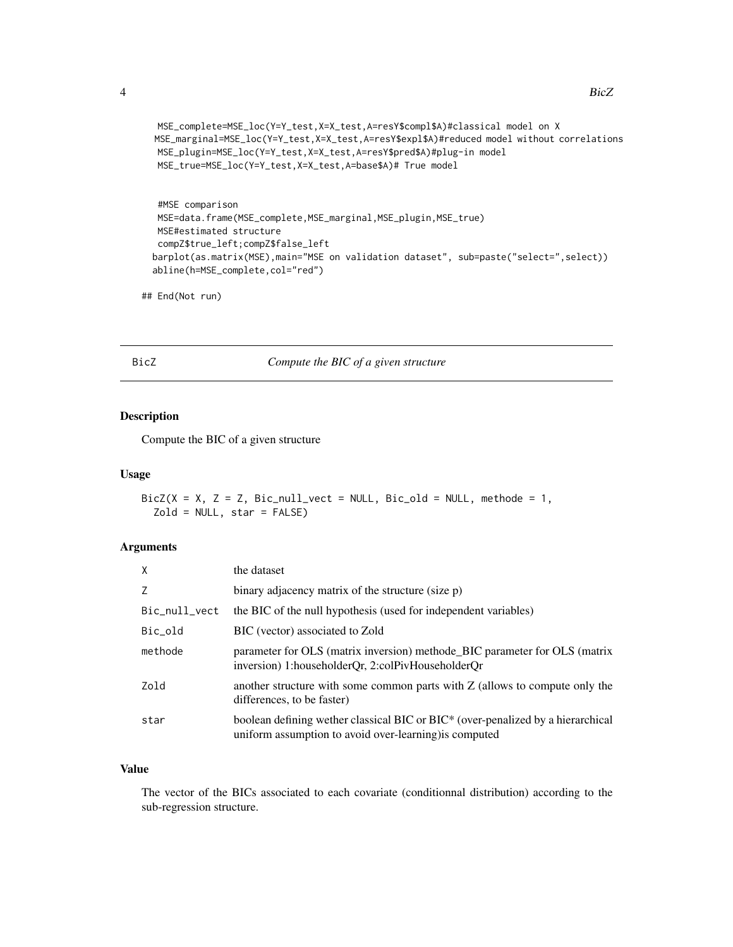```
4 BicZ
```

```
MSE_complete=MSE_loc(Y=Y_test,X=X_test,A=resY$compl$A)#classical model on X
MSE_marginal=MSE_loc(Y=Y_test,X=X_test,A=resY$expl$A)#reduced model without correlations
MSE_plugin=MSE_loc(Y=Y_test,X=X_test,A=resY$pred$A)#plug-in model
MSE_true=MSE_loc(Y=Y_test,X=X_test,A=base$A)# True model
```

```
#MSE comparison
 MSE=data.frame(MSE_complete,MSE_marginal,MSE_plugin,MSE_true)
 MSE#estimated structure
 compZ$true_left;compZ$false_left
barplot(as.matrix(MSE),main="MSE on validation dataset", sub=paste("select=",select))
abline(h=MSE_complete,col="red")
```
## End(Not run)

## BicZ *Compute the BIC of a given structure*

## Description

Compute the BIC of a given structure

#### Usage

```
BicZ(X = X, Z = Z, Bic_null_vect = NULL, Bic_old = NULL, methode = 1,
  Zold = NULL, star = FALSE)
```
## Arguments

| $\mathsf{x}$  | the dataset                                                                                                                                  |
|---------------|----------------------------------------------------------------------------------------------------------------------------------------------|
| Z             | binary adjacency matrix of the structure (size p)                                                                                            |
| Bic_null_vect | the BIC of the null hypothesis (used for independent variables)                                                                              |
| Bic_old       | BIC (vector) associated to Zold                                                                                                              |
| methode       | parameter for OLS (matrix inversion) methode_BIC parameter for OLS (matrix<br>inversion) 1:householderQr, 2:colPivHouseholderQr              |
| Zold          | another structure with some common parts with $Z$ (allows to compute only the<br>differences, to be faster)                                  |
| star          | boolean defining wether classical BIC or $BIC^*$ (over-penalized by a hierarchical<br>uniform assumption to avoid over-learning) is computed |

## Value

The vector of the BICs associated to each covariate (conditionnal distribution) according to the sub-regression structure.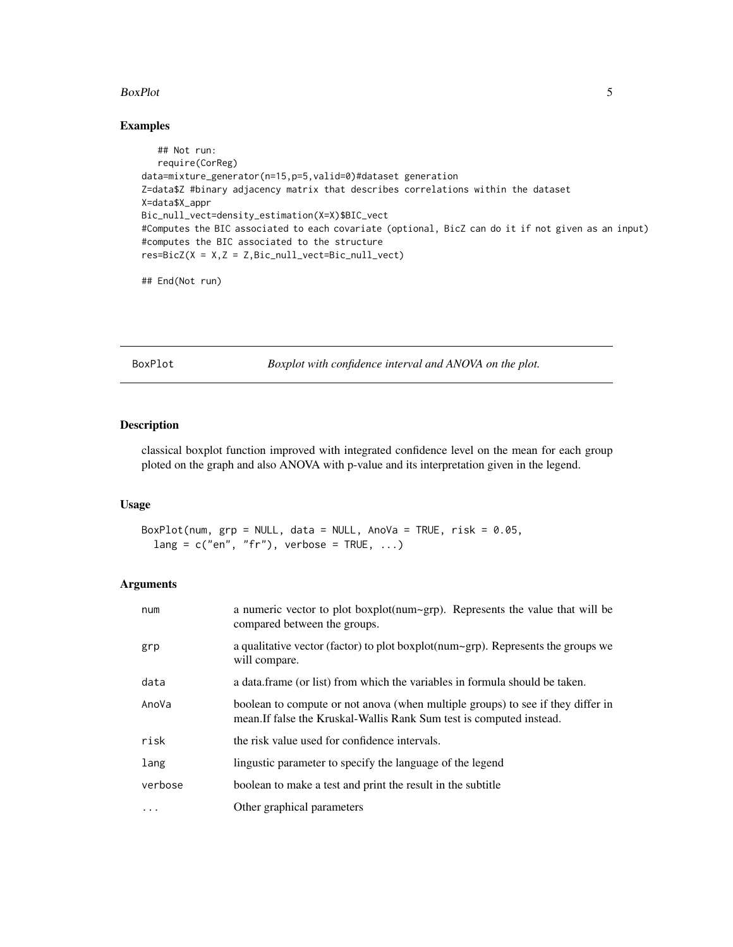#### <span id="page-4-0"></span>BoxPlot 5

## Examples

```
## Not run:
   require(CorReg)
data=mixture_generator(n=15,p=5,valid=0)#dataset generation
Z=data$Z #binary adjacency matrix that describes correlations within the dataset
X=data$X_appr
Bic_null_vect=density_estimation(X=X)$BIC_vect
#Computes the BIC associated to each covariate (optional, BicZ can do it if not given as an input)
#computes the BIC associated to the structure
res = BicZ(X = X, Z = Z, Bic\_null\_vect = Bic\_null\_vect)
```
## End(Not run)

BoxPlot *Boxplot with confidence interval and ANOVA on the plot.*

#### Description

classical boxplot function improved with integrated confidence level on the mean for each group ploted on the graph and also ANOVA with p-value and its interpretation given in the legend.

#### Usage

BoxPlot(num,  $grp = NULL$ , data = NULL, AnoVa = TRUE, risk = 0.05,  $lang = c("en", "fr"), verbose = TRUE, ...)$ 

| num       | a numeric vector to plot boxplot(num~grp). Represents the value that will be<br>compared between the groups.                                            |
|-----------|---------------------------------------------------------------------------------------------------------------------------------------------------------|
| grp       | a qualitative vector (factor) to plot boxplot( $num\sim$ grp). Represents the groups we<br>will compare.                                                |
| data      | a data frame (or list) from which the variables in formula should be taken.                                                                             |
| AnoVa     | boolean to compute or not anova (when multiple groups) to see if they differ in<br>mean. If false the Kruskal-Wallis Rank Sum test is computed instead. |
| risk      | the risk value used for confidence intervals.                                                                                                           |
| lang      | lingustic parameter to specify the language of the legend                                                                                               |
| verbose   | boolean to make a test and print the result in the subtitle                                                                                             |
| $\ddotsc$ | Other graphical parameters                                                                                                                              |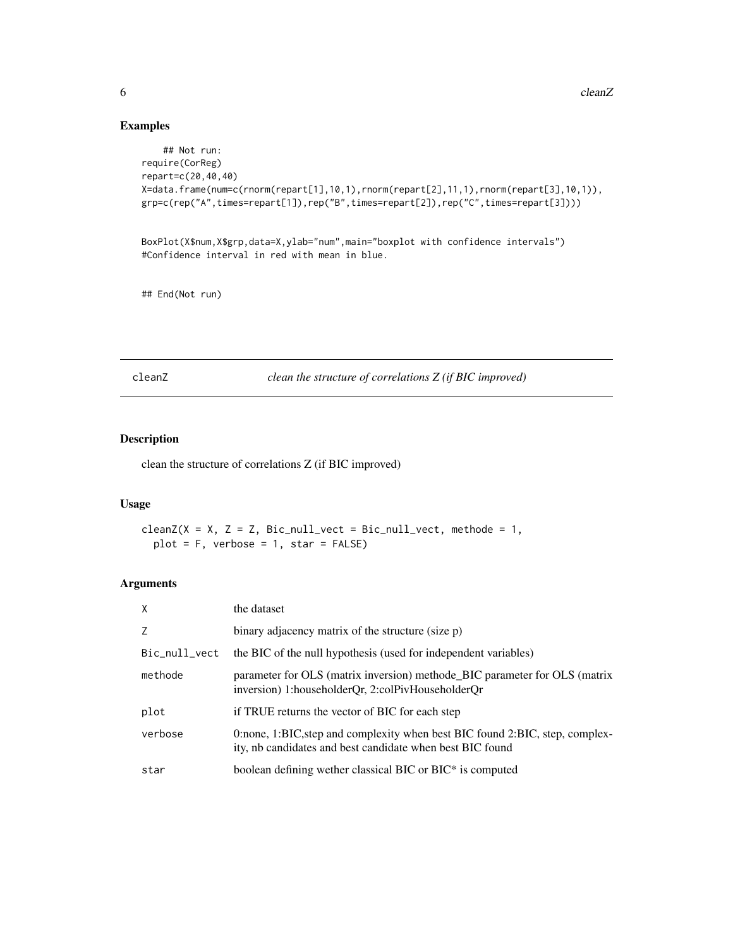## Examples

```
## Not run:
require(CorReg)
repart=c(20,40,40)
X=data.frame(num=c(rnorm(repart[1],10,1),rnorm(repart[2],11,1),rnorm(repart[3],10,1)),
grp=c(rep("A",times=repart[1]),rep("B",times=repart[2]),rep("C",times=repart[3])))
```
BoxPlot(X\$num,X\$grp,data=X,ylab="num",main="boxplot with confidence intervals") #Confidence interval in red with mean in blue.

## End(Not run)

cleanZ *clean the structure of correlations Z (if BIC improved)*

## Description

clean the structure of correlations Z (if BIC improved)

### Usage

```
cleanZ(X = X, Z = Z, Bic_null_vect = Bic_null_vect, methode = 1,
 plot = F, verbose = 1, star = FALSE)
```

| $\mathsf{X}$  | the dataset                                                                                                                               |
|---------------|-------------------------------------------------------------------------------------------------------------------------------------------|
| Z             | binary adjacency matrix of the structure (size p)                                                                                         |
| Bic_null_vect | the BIC of the null hypothesis (used for independent variables)                                                                           |
| methode       | parameter for OLS (matrix inversion) methode_BIC parameter for OLS (matrix<br>inversion) 1:householderQr, 2:colPivHouseholderQr           |
| plot          | if TRUE returns the vector of BIC for each step                                                                                           |
| verbose       | 0:none, 1:BIC, step and complexity when best BIC found 2:BIC, step, complex-<br>ity, nb candidates and best candidate when best BIC found |
| star          | boolean defining wether classical BIC or BIC* is computed                                                                                 |

<span id="page-5-0"></span>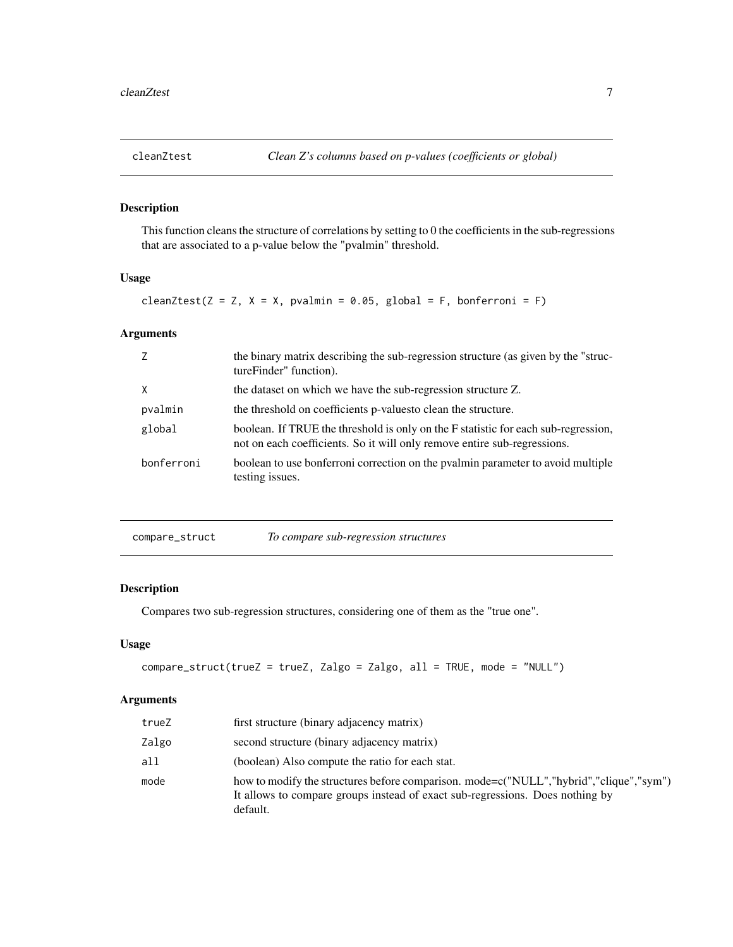<span id="page-6-0"></span>

## Description

This function cleans the structure of correlations by setting to 0 the coefficients in the sub-regressions that are associated to a p-value below the "pvalmin" threshold.

## Usage

```
cleanZtest(Z = Z, X = X, pvalmin = 0.05, global = F, bonferroni = F)
```
## Arguments

| 7          | the binary matrix describing the sub-regression structure (as given by the "struc-<br>tureFinder" function).                                                   |
|------------|----------------------------------------------------------------------------------------------------------------------------------------------------------------|
| $\times$   | the dataset on which we have the sub-regression structure Z.                                                                                                   |
| pvalmin    | the threshold on coefficients p-values to clean the structure.                                                                                                 |
| global     | boolean. If TRUE the threshold is only on the F statistic for each sub-regression,<br>not on each coefficients. So it will only remove entire sub-regressions. |
| bonferroni | boolean to use bonferroni correction on the pvalmin parameter to avoid multiple<br>testing issues.                                                             |

| compare_struct | To compare sub-regression structures |  |
|----------------|--------------------------------------|--|
|                |                                      |  |

## Description

Compares two sub-regression structures, considering one of them as the "true one".

## Usage

```
compare_struct(trueZ = trueZ, Zalgo = Zalgo, all = TRUE, mode = "NULL")
```

| trueZ | first structure (binary adjacency matrix)                                                                                                                                           |
|-------|-------------------------------------------------------------------------------------------------------------------------------------------------------------------------------------|
| Zalgo | second structure (binary adjacency matrix)                                                                                                                                          |
| all   | (boolean) Also compute the ratio for each stat.                                                                                                                                     |
| mode  | how to modify the structures before comparison. mode=c("NULL","hybrid","clique","sym")<br>It allows to compare groups instead of exact sub-regressions. Does nothing by<br>default. |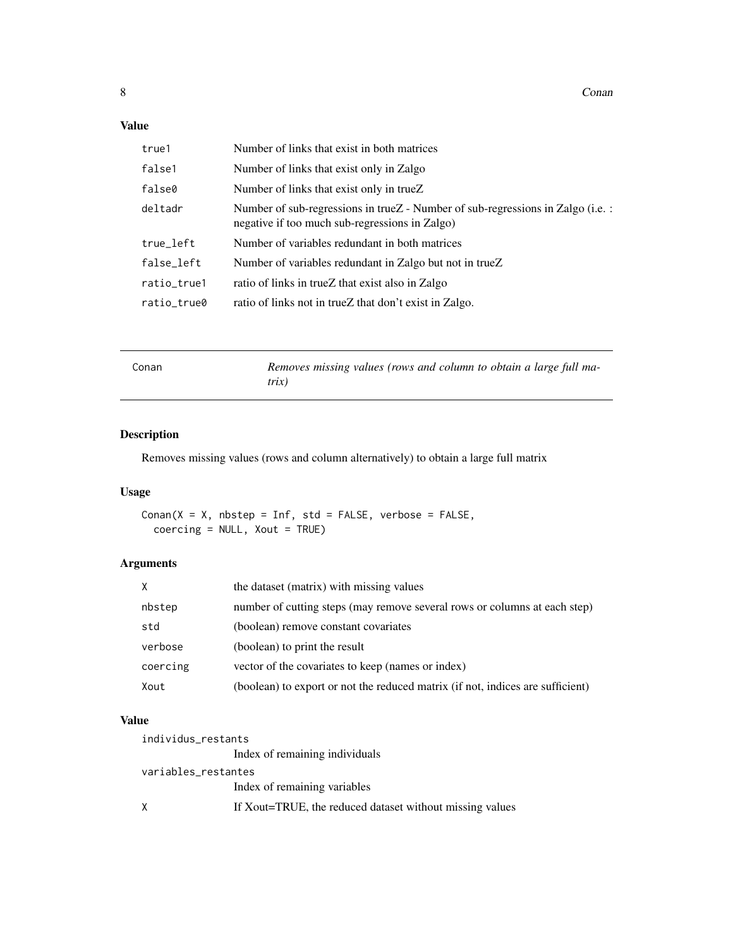## <span id="page-7-0"></span>Value

| true1       | Number of links that exist in both matrices                                                                                              |
|-------------|------------------------------------------------------------------------------------------------------------------------------------------|
| false1      | Number of links that exist only in Zalgo                                                                                                 |
| false0      | Number of links that exist only in trueZ                                                                                                 |
| deltadr     | Number of sub-regressions in trueZ - Number of sub-regressions in Zalgo (i.e. $\colon$<br>negative if too much sub-regressions in Zalgo) |
| true_left   | Number of variables redundant in both matrices                                                                                           |
| false_left  | Number of variables redundant in Zalgo but not in trueZ                                                                                  |
| ratio_true1 | ratio of links in trueZ that exist also in Zalgo                                                                                         |
| ratio_true0 | ratio of links not in trueZ that don't exist in Zalgo.                                                                                   |

| Conan | Removes missing values (rows and column to obtain a large full ma-<br>trix) |
|-------|-----------------------------------------------------------------------------|
|       |                                                                             |

## Description

Removes missing values (rows and column alternatively) to obtain a large full matrix

## Usage

 $Conn(X = X, nbytep = Inf, std = FALSE, verbose = FALSE,$ coercing = NULL, Xout = TRUE)

## Arguments

| $\mathsf{x}$ | the dataset (matrix) with missing values                                       |
|--------------|--------------------------------------------------------------------------------|
| nbstep       | number of cutting steps (may remove several rows or columns at each step)      |
| std          | (boolean) remove constant covariates                                           |
| verbose      | (boolean) to print the result                                                  |
| coercing     | vector of the covariates to keep (names or index)                              |
| Xout         | (boolean) to export or not the reduced matrix (if not, indices are sufficient) |

## Value

| individus_restants  |                                                          |
|---------------------|----------------------------------------------------------|
|                     | Index of remaining individuals                           |
| variables_restantes |                                                          |
|                     | Index of remaining variables                             |
| X                   | If Xout=TRUE, the reduced dataset without missing values |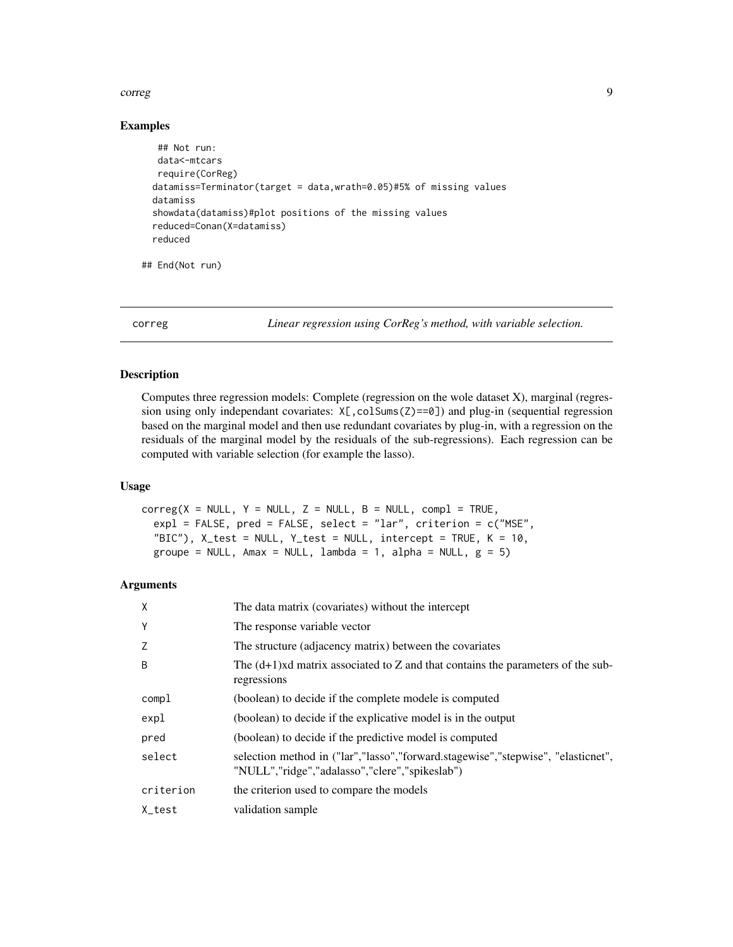#### <span id="page-8-0"></span>correg to the control of the control of the control of the control of the control of the control of the control of the control of the control of the control of the control of the control of the control of the control of th

#### Examples

```
## Not run:
 data<-mtcars
require(CorReg)
datamiss=Terminator(target = data,wrath=0.05)#5% of missing values
datamiss
showdata(datamiss)#plot positions of the missing values
reduced=Conan(X=datamiss)
reduced
```
## End(Not run)

correg *Linear regression using CorReg's method, with variable selection.*

## Description

Computes three regression models: Complete (regression on the wole dataset X), marginal (regression using only independant covariates:  $X[\cdot, \text{colSum}(Z) == 0]$  and plug-in (sequential regression based on the marginal model and then use redundant covariates by plug-in, with a regression on the residuals of the marginal model by the residuals of the sub-regressions). Each regression can be computed with variable selection (for example the lasso).

## Usage

```
correg(X = NULL, Y = NULL, Z = NULL, B = NULL, comb1 = TRUE,expl = FALSE, pred = FALSE, select = "lar", criterion = c("MSE",
  "BIC"), X_test = NULL, Y_test = NULL, intercept = TRUE, K = 10,
  groupe = NULL, Amax = NULL, lambda = 1, alpha = NULL, g = 5)
```

| X         | The data matrix (covariates) without the intercept                                                                                 |
|-----------|------------------------------------------------------------------------------------------------------------------------------------|
| Υ         | The response variable vector                                                                                                       |
| Z         | The structure (adjacency matrix) between the covariates                                                                            |
| B         | The $(d+1)$ xd matrix associated to Z and that contains the parameters of the sub-<br>regressions                                  |
| compl     | (boolean) to decide if the complete modele is computed                                                                             |
| expl      | (boolean) to decide if the explicative model is in the output                                                                      |
| pred      | (boolean) to decide if the predictive model is computed                                                                            |
| select    | selection method in ("lar","lasso","forward.stagewise","stepwise", "elasticnet",<br>"NULL","ridge","adalasso","clere","spikeslab") |
| criterion | the criterion used to compare the models                                                                                           |
| X test    | validation sample                                                                                                                  |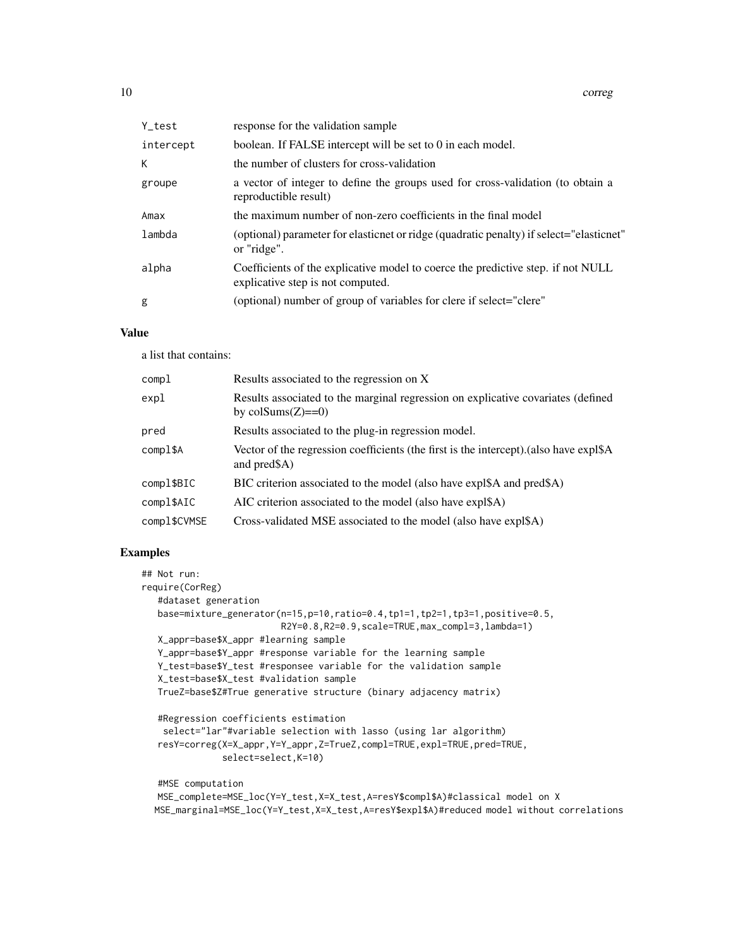| Y_test    | response for the validation sample                                                                                    |
|-----------|-----------------------------------------------------------------------------------------------------------------------|
| intercept | boolean. If FALSE intercept will be set to 0 in each model.                                                           |
| K         | the number of clusters for cross-validation                                                                           |
| groupe    | a vector of integer to define the groups used for cross-validation (to obtain a<br>reproductible result)              |
| Amax      | the maximum number of non-zero coefficients in the final model                                                        |
| lambda    | (optional) parameter for elasticnet or ridge (quadratic penalty) if select="elasticnet"<br>or "ridge".                |
| alpha     | Coefficients of the explicative model to coerce the predictive step. if not NULL<br>explicative step is not computed. |
| g         | (optional) number of group of variables for clere if select="clere"                                                   |

## Value

a list that contains:

| compl        | Results associated to the regression on X                                                              |
|--------------|--------------------------------------------------------------------------------------------------------|
| expl         | Results associated to the marginal regression on explicative covariates (defined<br>by colSums $(Z)=0$ |
| pred         | Results associated to the plug-in regression model.                                                    |
| compl\$A     | Vector of the regression coefficients (the first is the intercept). (also have expl\$A<br>and pred\$A) |
| compl\$BIC   | BIC criterion associated to the model (also have expl\$A and pred\$A)                                  |
| compl\$AIC   | AIC criterion associated to the model (also have expl\$A)                                              |
| compl\$CVMSE | Cross-validated MSE associated to the model (also have expl\$A)                                        |

## Examples

```
## Not run:
require(CorReg)
   #dataset generation
  base=mixture_generator(n=15,p=10,ratio=0.4,tp1=1,tp2=1,tp3=1,positive=0.5,
                         R2Y=0.8,R2=0.9,scale=TRUE,max_compl=3,lambda=1)
  X_appr=base$X_appr #learning sample
  Y_appr=base$Y_appr #response variable for the learning sample
  Y_test=base$Y_test #responsee variable for the validation sample
  X_test=base$X_test #validation sample
  TrueZ=base$Z#True generative structure (binary adjacency matrix)
   #Regression coefficients estimation
   select="lar"#variable selection with lasso (using lar algorithm)
   resY=correg(X=X_appr,Y=Y_appr,Z=TrueZ,compl=TRUE,expl=TRUE,pred=TRUE,
              select=select,K=10)
  #MSE computation
```
MSE\_complete=MSE\_loc(Y=Y\_test,X=X\_test,A=resY\$compl\$A)#classical model on X MSE\_marginal=MSE\_loc(Y=Y\_test,X=X\_test,A=resY\$expl\$A)#reduced model without correlations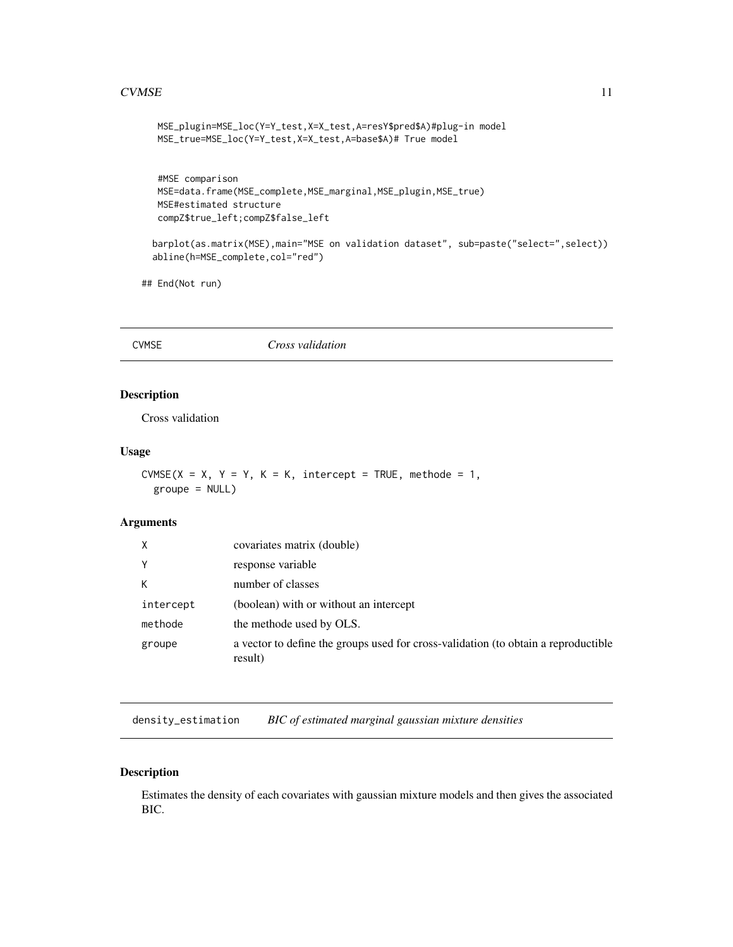#### <span id="page-10-0"></span> $CVMSE$  11

```
MSE_plugin=MSE_loc(Y=Y_test,X=X_test,A=resY$pred$A)#plug-in model
MSE_true=MSE_loc(Y=Y_test,X=X_test,A=base$A)# True model
```

```
#MSE comparison
MSE=data.frame(MSE_complete,MSE_marginal,MSE_plugin,MSE_true)
MSE#estimated structure
compZ$true_left;compZ$false_left
```

```
barplot(as.matrix(MSE),main="MSE on validation dataset", sub=paste("select=",select))
abline(h=MSE_complete,col="red")
```
## End(Not run)

CVMSE *Cross validation*

## Description

Cross validation

#### Usage

```
CVMSE(X = X, Y = Y, K = K, intercept = TRUE, methode = 1,
 groupe = NULL
```
#### Arguments

| X         | covariates matrix (double)                                                                    |
|-----------|-----------------------------------------------------------------------------------------------|
| Y         | response variable                                                                             |
| К         | number of classes                                                                             |
| intercept | (boolean) with or without an intercept                                                        |
| methode   | the methode used by OLS.                                                                      |
| groupe    | a vector to define the groups used for cross-validation (to obtain a reproductible<br>result) |

density\_estimation *BIC of estimated marginal gaussian mixture densities*

## Description

Estimates the density of each covariates with gaussian mixture models and then gives the associated BIC.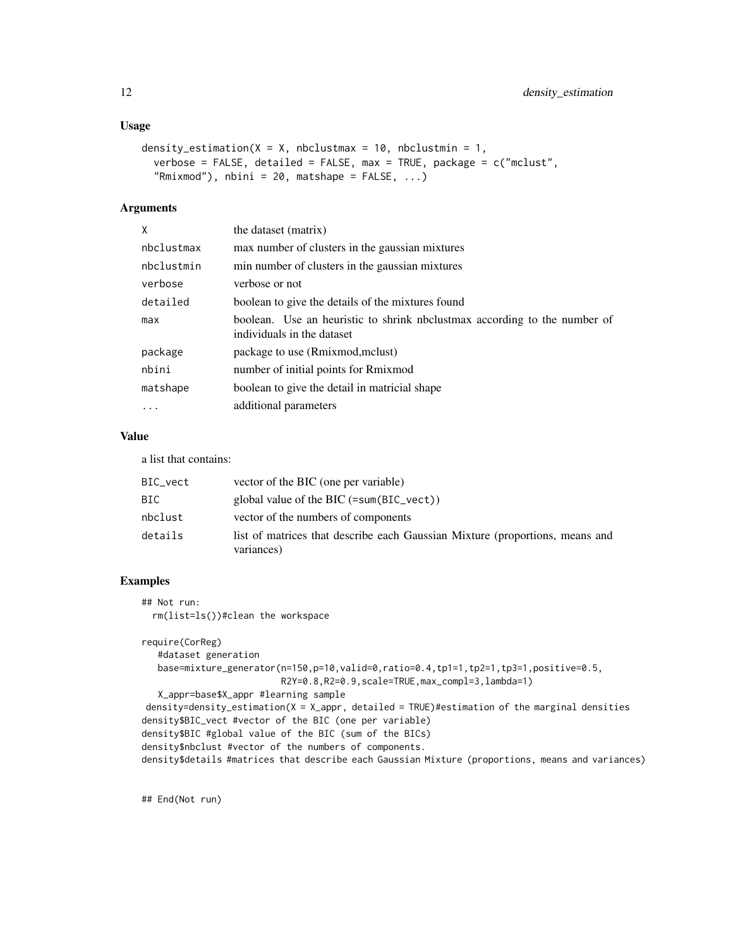## Usage

```
density_estimation(X = X, nbclustmax = 10, nbclustmin = 1,
 verbose = FALSE, detailed = FALSE, max = TRUE, package = c("mclust","Rmixmod"), nbini = 20, matshape = FALSE, ...)
```
#### Arguments

| X          | the dataset (matrix)                                                                                    |
|------------|---------------------------------------------------------------------------------------------------------|
| nbclustmax | max number of clusters in the gaussian mixtures                                                         |
| nbclustmin | min number of clusters in the gaussian mixtures                                                         |
| verbose    | verbose or not                                                                                          |
| detailed   | boolean to give the details of the mixtures found                                                       |
| max        | boolean. Use an heuristic to shrink nbclustmax according to the number of<br>individuals in the dataset |
| package    | package to use (Rmixmod, mclust)                                                                        |
| nbini      | number of initial points for Rmixmod                                                                    |
| matshape   | boolean to give the detail in matricial shape                                                           |
| $\cdot$    | additional parameters                                                                                   |
|            |                                                                                                         |

## Value

a list that contains:

| BIC_vect | vector of the BIC (one per variable)                                                       |
|----------|--------------------------------------------------------------------------------------------|
| BIC      | global value of the BIC $(=\text{sum(BIC\_vect}))$                                         |
| nbclust  | vector of the numbers of components                                                        |
| details  | list of matrices that describe each Gaussian Mixture (proportions, means and<br>variances) |

## Examples

```
## Not run:
 rm(list=ls())#clean the workspace
```
require(CorReg) #dataset generation base=mixture\_generator(n=150,p=10,valid=0,ratio=0.4,tp1=1,tp2=1,tp3=1,positive=0.5, R2Y=0.8,R2=0.9,scale=TRUE,max\_compl=3,lambda=1) X\_appr=base\$X\_appr #learning sample density=density\_estimation(X = X\_appr, detailed = TRUE)#estimation of the marginal densities density\$BIC\_vect #vector of the BIC (one per variable) density\$BIC #global value of the BIC (sum of the BICs) density\$nbclust #vector of the numbers of components. density\$details #matrices that describe each Gaussian Mixture (proportions, means and variances)

## End(Not run)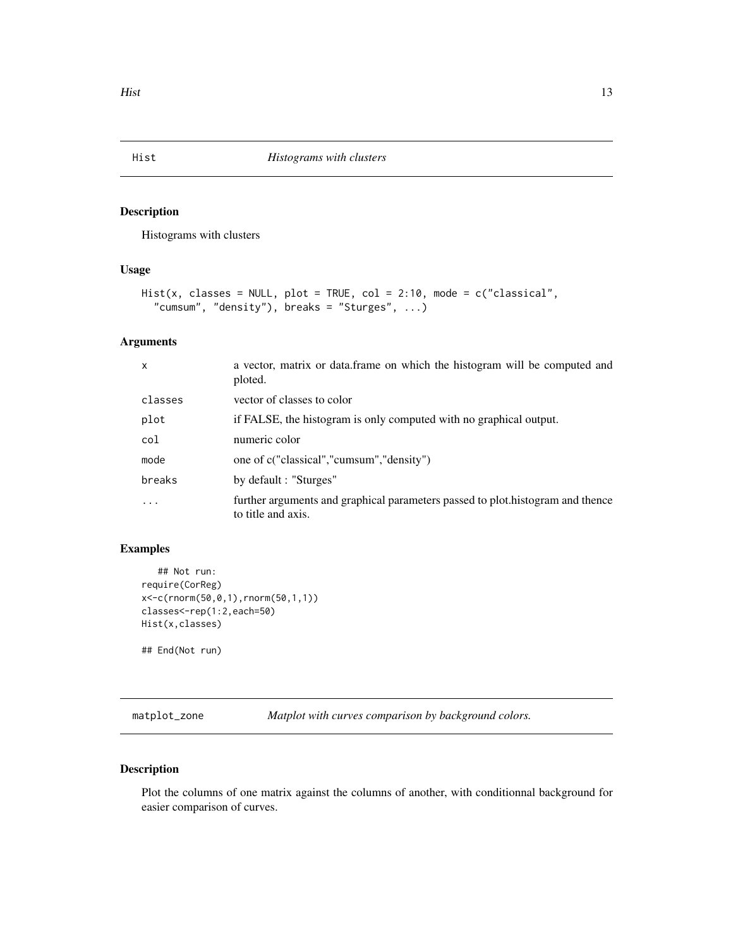<span id="page-12-0"></span>

## Description

Histograms with clusters

## Usage

```
Hist(x, classes = NULL, plot = TRUE, col = 2:10, mode = c("classical",
  "cumsum", "density"), breaks = "Sturges", ...)
```
## Arguments

| $\mathsf{x}$ | a vector, matrix or data. frame on which the histogram will be computed and<br>ploted.               |
|--------------|------------------------------------------------------------------------------------------------------|
| classes      | vector of classes to color                                                                           |
| plot         | if FALSE, the histogram is only computed with no graphical output.                                   |
| col          | numeric color                                                                                        |
| mode         | one of c("classical","cumsum","density")                                                             |
| breaks       | by default : "Sturges"                                                                               |
|              | further arguments and graphical parameters passed to plot.histogram and thence<br>to title and axis. |

## Examples

```
## Not run:
require(CorReg)
x<-c(rnorm(50,0,1),rnorm(50,1,1))
classes<-rep(1:2,each=50)
Hist(x,classes)
## End(Not run)
```
matplot\_zone *Matplot with curves comparison by background colors.*

## Description

Plot the columns of one matrix against the columns of another, with conditionnal background for easier comparison of curves.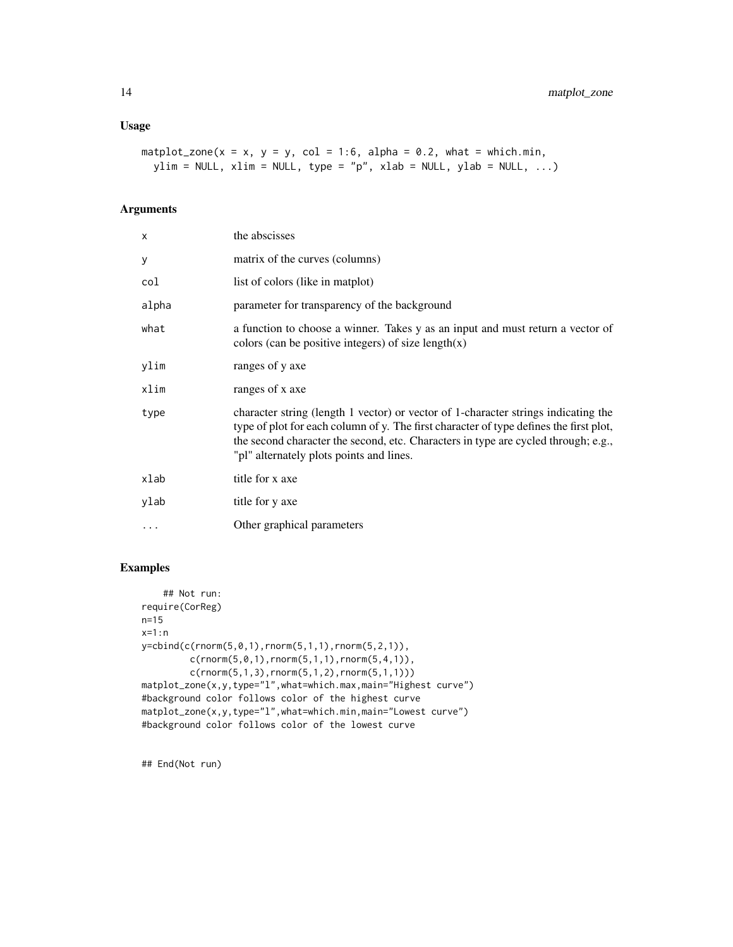```
matplot_zone(x = x, y = y, col = 1:6, alpha = 0.2, what = which.min,
 ylim = NULL, xlim = NULL, type = "p", xlab = NULL, ylab = NULL, ...)
```
## Arguments

| X        | the abscisses                                                                                                                                                                                                                                                                                                  |
|----------|----------------------------------------------------------------------------------------------------------------------------------------------------------------------------------------------------------------------------------------------------------------------------------------------------------------|
| У        | matrix of the curves (columns)                                                                                                                                                                                                                                                                                 |
| col      | list of colors (like in matplot)                                                                                                                                                                                                                                                                               |
| alpha    | parameter for transparency of the background                                                                                                                                                                                                                                                                   |
| what     | a function to choose a winner. Takes y as an input and must return a vector of<br>colors (can be positive integers) of size $length(x)$                                                                                                                                                                        |
| ylim     | ranges of y axe                                                                                                                                                                                                                                                                                                |
| xlim     | ranges of x axe                                                                                                                                                                                                                                                                                                |
| type     | character string (length 1 vector) or vector of 1-character strings indicating the<br>type of plot for each column of y. The first character of type defines the first plot,<br>the second character the second, etc. Characters in type are cycled through; e.g.,<br>"pl" alternately plots points and lines. |
| xlab     | title for x axe                                                                                                                                                                                                                                                                                                |
| ylab     | title for y axe                                                                                                                                                                                                                                                                                                |
| $\ddots$ | Other graphical parameters                                                                                                                                                                                                                                                                                     |

## Examples

```
## Not run:
require(CorReg)
n=15
x=1:n
y=cbind(c(rnorm(5,0,1),rnorm(5,1,1),rnorm(5,2,1)),
         c(rnorm(5,0,1),rnorm(5,1,1),rnorm(5,4,1)),
         c(rnorm(5,1,3), rnorm(5,1,2), rnorm(5,1,1)))
matplot_zone(x,y,type="l",what=which.max,main="Highest curve")
#background color follows color of the highest curve
matplot_zone(x,y,type="l",what=which.min,main="Lowest curve")
#background color follows color of the lowest curve
```
## End(Not run)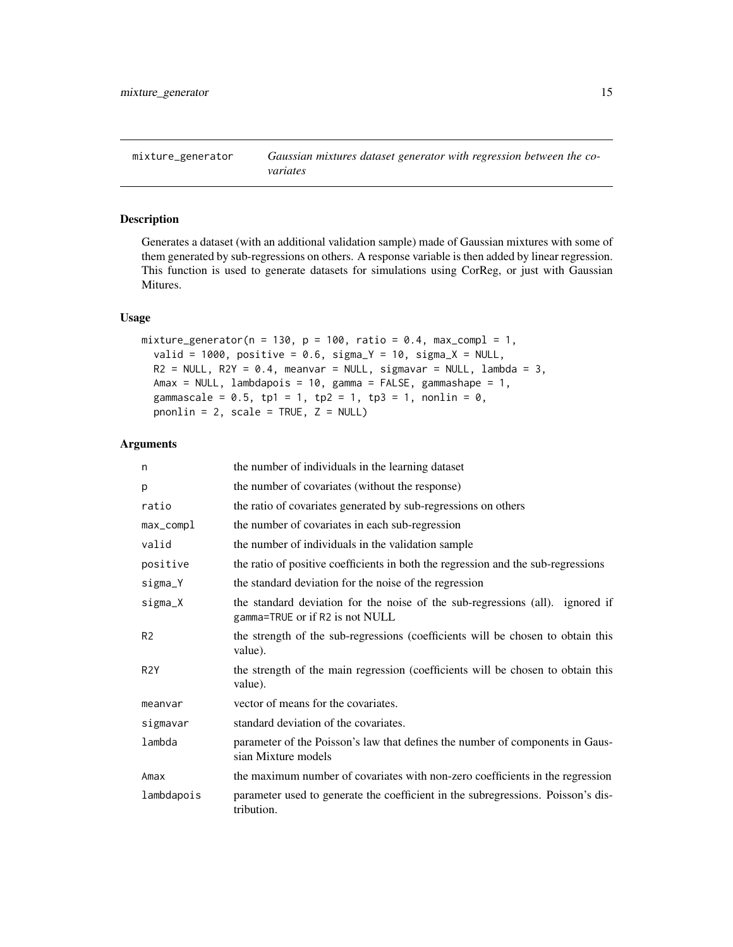<span id="page-14-0"></span>mixture\_generator *Gaussian mixtures dataset generator with regression between the covariates*

## Description

Generates a dataset (with an additional validation sample) made of Gaussian mixtures with some of them generated by sub-regressions on others. A response variable is then added by linear regression. This function is used to generate datasets for simulations using CorReg, or just with Gaussian Mitures.

## Usage

```
mixture_generator(n = 130, p = 100, ratio = 0.4, max_compl = 1,
  valid = 1000, positive = 0.6, sigma_Y = 10, sigma_X = NULL,
 R2 = NULL, R2Y = 0.4, meanvar = NULL, sigmavar = NULL, lambda = 3,
 Amax = NULL, lambdapois = 10, gamma = FALSE, gammashape = 1,
  gammascale = 0.5, tp1 = 1, tp2 = 1, tp3 = 1, nonlin = 0,
  pnonlin = 2, scale = TRUE, Z = NULL
```

| n                | the number of individuals in the learning dataset                                                                |
|------------------|------------------------------------------------------------------------------------------------------------------|
| p                | the number of covariates (without the response)                                                                  |
| ratio            | the ratio of covariates generated by sub-regressions on others                                                   |
| $max_{comp1}$    | the number of covariates in each sub-regression                                                                  |
| valid            | the number of individuals in the validation sample                                                               |
| positive         | the ratio of positive coefficients in both the regression and the sub-regressions                                |
| sigma_Y          | the standard deviation for the noise of the regression                                                           |
| sigma_X          | the standard deviation for the noise of the sub-regressions (all). ignored if<br>gamma=TRUE or if R2 is not NULL |
| R <sub>2</sub>   | the strength of the sub-regressions (coefficients will be chosen to obtain this<br>value).                       |
| R <sub>2</sub> Y | the strength of the main regression (coefficients will be chosen to obtain this<br>value).                       |
| meanvar          | vector of means for the covariates.                                                                              |
| sigmavar         | standard deviation of the covariates.                                                                            |
| lambda           | parameter of the Poisson's law that defines the number of components in Gaus-<br>sian Mixture models             |
| Amax             | the maximum number of covariates with non-zero coefficients in the regression                                    |
| lambdapois       | parameter used to generate the coefficient in the subregressions. Poisson's dis-<br>tribution.                   |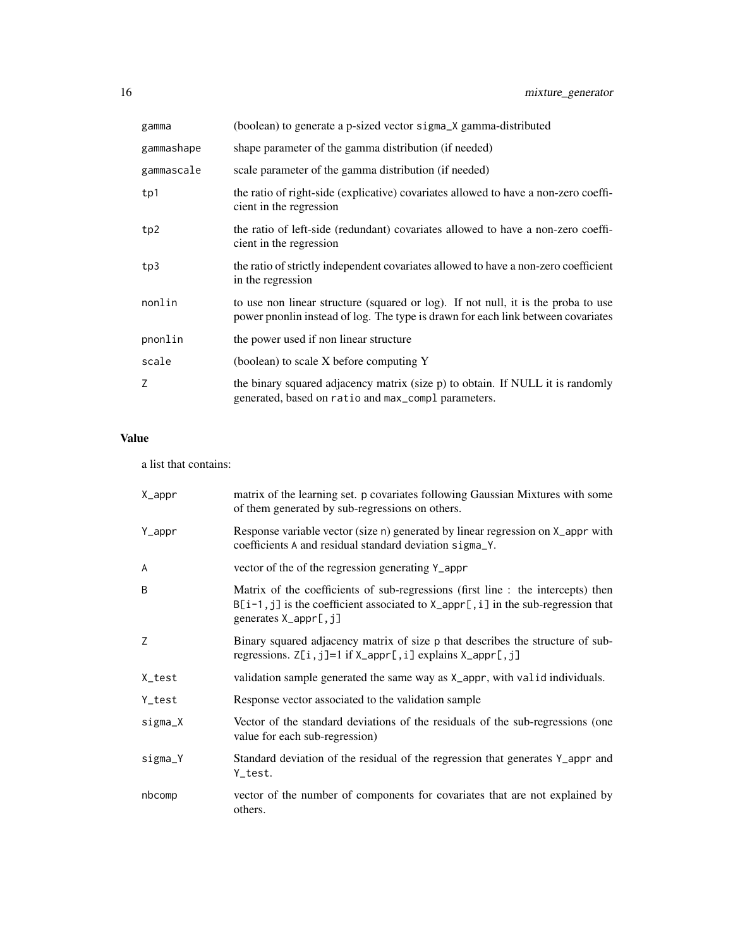| gamma      | (boolean) to generate a p-sized vector sigma_X gamma-distributed                                                                                                      |
|------------|-----------------------------------------------------------------------------------------------------------------------------------------------------------------------|
| gammashape | shape parameter of the gamma distribution (if needed)                                                                                                                 |
| gammascale | scale parameter of the gamma distribution (if needed)                                                                                                                 |
| tp1        | the ratio of right-side (explicative) covariates allowed to have a non-zero coeffi-<br>cient in the regression                                                        |
| tp2        | the ratio of left-side (redundant) covariates allowed to have a non-zero coeffi-<br>cient in the regression                                                           |
| tp3        | the ratio of strictly independent covariates allowed to have a non-zero coefficient<br>in the regression                                                              |
| nonlin     | to use non linear structure (squared or log). If not null, it is the proba to use<br>power pnonlin instead of log. The type is drawn for each link between covariates |
| pnonlin    | the power used if non linear structure                                                                                                                                |
| scale      | (boolean) to scale X before computing Y                                                                                                                               |
| Z          | the binary squared adjacency matrix (size p) to obtain. If NULL it is randomly<br>generated, based on ratio and max_compl parameters.                                 |

## Value

a list that contains:

| X_appr  | matrix of the learning set. p covariates following Gaussian Mixtures with some<br>of them generated by sub-regressions on others.                                                                   |
|---------|-----------------------------------------------------------------------------------------------------------------------------------------------------------------------------------------------------|
| Y_appr  | Response variable vector (size n) generated by linear regression on X_appr with<br>coefficients A and residual standard deviation sigma_Y.                                                          |
| A       | vector of the of the regression generating Y_appr                                                                                                                                                   |
| B       | Matrix of the coefficients of sub-regressions (first line : the intercepts) then<br>$B[i-1, j]$ is the coefficient associated to $X$ -appr[, i] in the sub-regression that<br>generates X_appr[, j] |
| Ζ       | Binary squared adjacency matrix of size p that describes the structure of sub-<br>regressions. $Z[i, j]=1$ if $X$ _appr[, i] explains $X$ _appr[, j]                                                |
| X_test  | validation sample generated the same way as X_appr, with valid individuals.                                                                                                                         |
| Y_test  | Response vector associated to the validation sample                                                                                                                                                 |
| sigma_X | Vector of the standard deviations of the residuals of the sub-regressions (one<br>value for each sub-regression)                                                                                    |
| sigma_Y | Standard deviation of the residual of the regression that generates Y_appr and<br>Y_test.                                                                                                           |
| nbcomp  | vector of the number of components for covariates that are not explained by<br>others.                                                                                                              |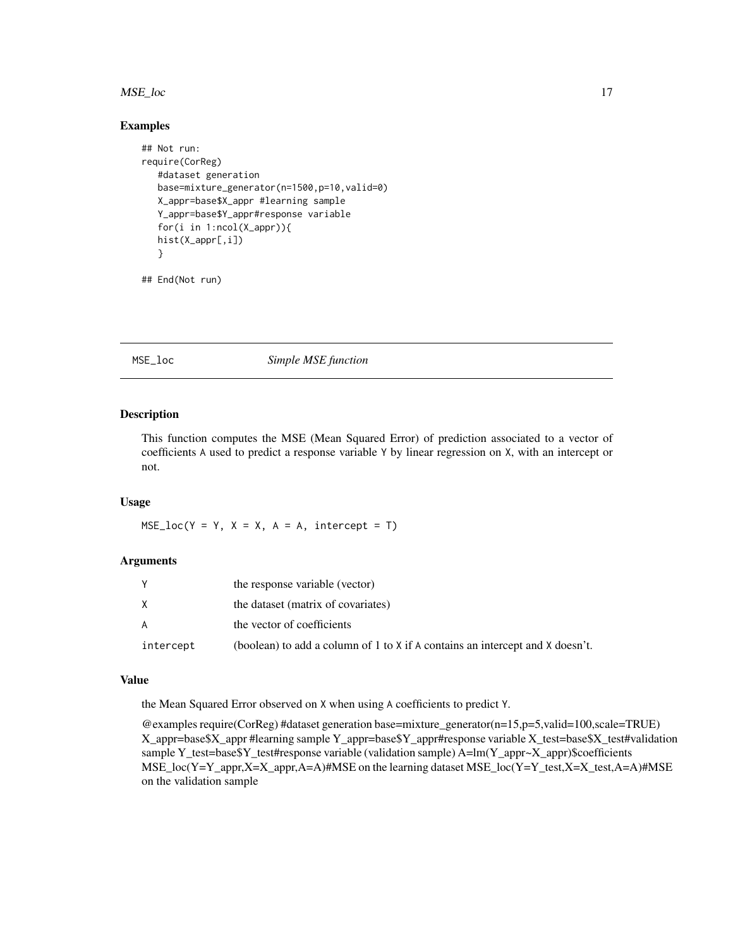#### <span id="page-16-0"></span>MSE\_loc 17

#### Examples

```
## Not run:
require(CorReg)
  #dataset generation
  base=mixture_generator(n=1500,p=10,valid=0)
  X_appr=base$X_appr #learning sample
  Y_appr=base$Y_appr#response variable
  for(i in 1:ncol(X_appr)){
  hist(X_appr[,i])
  }
```
## End(Not run)

MSE\_loc *Simple MSE function*

## Description

This function computes the MSE (Mean Squared Error) of prediction associated to a vector of coefficients A used to predict a response variable Y by linear regression on X, with an intercept or not.

#### Usage

 $MSE\_loc(Y = Y, X = X, A = A, intercept = T)$ 

#### Arguments

|           | the response variable (vector)                                                |
|-----------|-------------------------------------------------------------------------------|
| X         | the dataset (matrix of covariates)                                            |
| A         | the vector of coefficients                                                    |
| intercept | (boolean) to add a column of 1 to X if A contains an intercept and X doesn't. |

#### Value

the Mean Squared Error observed on X when using A coefficients to predict Y.

@examples require(CorReg) #dataset generation base=mixture\_generator(n=15,p=5,valid=100,scale=TRUE) X\_appr=base\$X\_appr #learning sample Y\_appr=base\$Y\_appr#response variable X\_test=base\$X\_test#validation sample Y\_test=base\$Y\_test#response variable (validation sample) A=lm(Y\_appr~X\_appr)\$coefficients MSE\_loc(Y=Y\_appr,X=X\_appr,A=A)#MSE on the learning dataset MSE\_loc(Y=Y\_test,X=X\_test,A=A)#MSE on the validation sample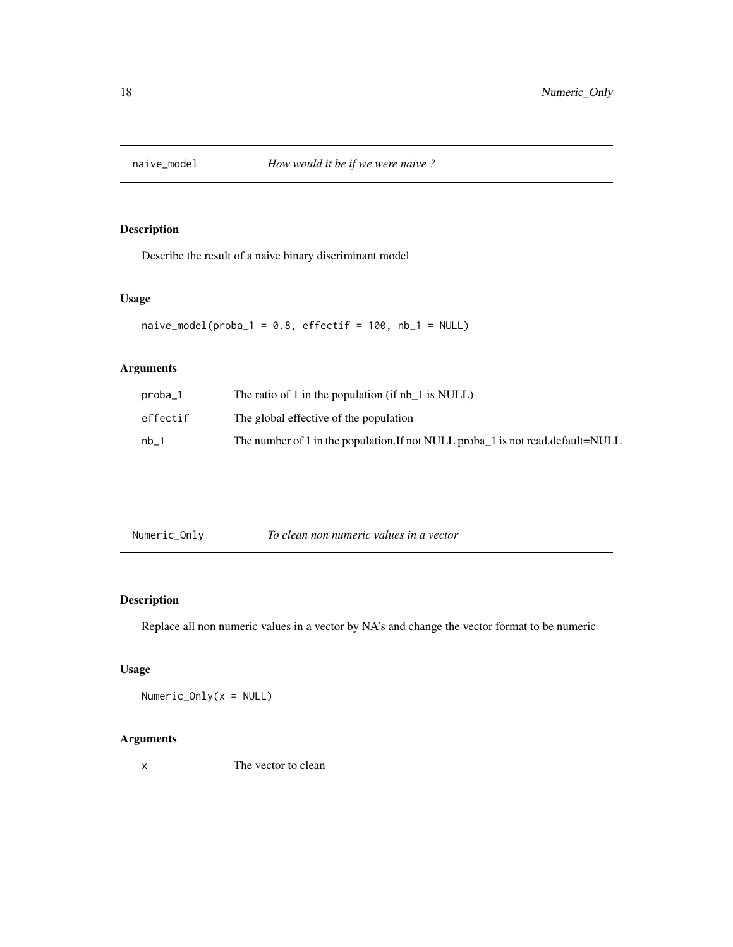<span id="page-17-0"></span>

## Description

Describe the result of a naive binary discriminant model

#### Usage

 $naive_model(proba_1 = 0.8, effect if = 100, nb_1 = NULL)$ 

## Arguments

| proba 1  | The ratio of 1 in the population (if nb $\,$ 1 is NULL)                           |
|----------|-----------------------------------------------------------------------------------|
| effectif | The global effective of the population                                            |
| nb 1     | The number of 1 in the population. If not NULL probaled is not read. default=NULL |

## Description

Replace all non numeric values in a vector by NA's and change the vector format to be numeric

## Usage

Numeric\_Only(x = NULL)

## Arguments

x The vector to clean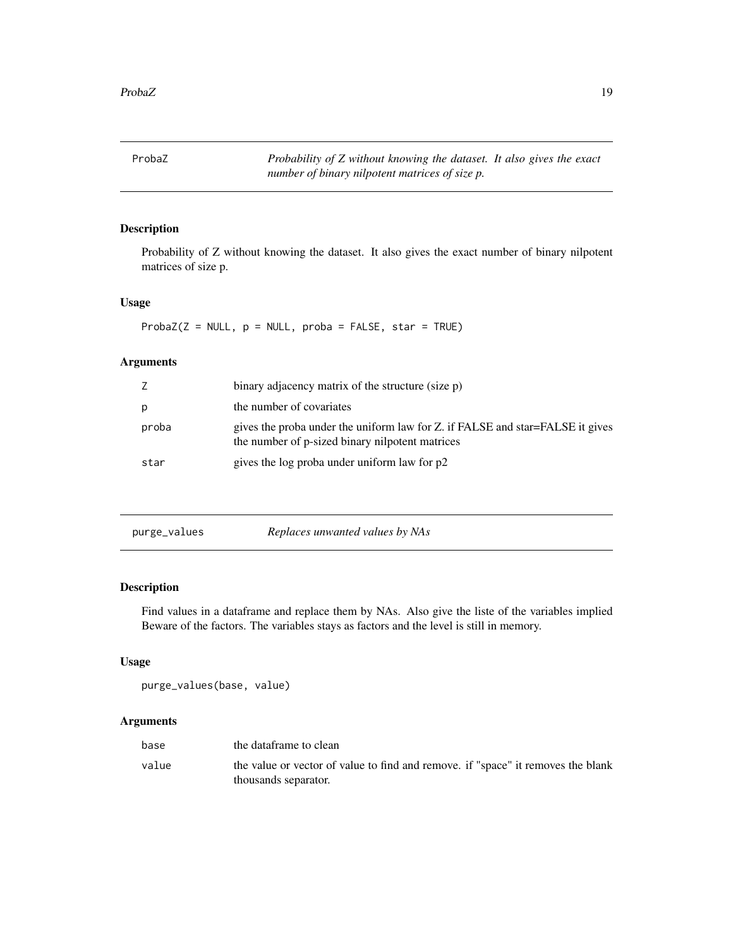<span id="page-18-0"></span>ProbaZ *Probability of Z without knowing the dataset. It also gives the exact number of binary nilpotent matrices of size p.*

## Description

Probability of Z without knowing the dataset. It also gives the exact number of binary nilpotent matrices of size p.

## Usage

 $Probability(Z = NULL, p = NULL, proba = FALSE, star = TRUE)$ 

## Arguments

| Z     | binary adjacency matrix of the structure (size p)                                                                                |
|-------|----------------------------------------------------------------------------------------------------------------------------------|
| p     | the number of covariates                                                                                                         |
| proba | gives the proba under the uniform law for Z. if FALSE and star=FALSE it gives<br>the number of p-sized binary nilpotent matrices |
| star  | gives the log proba under uniform law for p2                                                                                     |

purge\_values *Replaces unwanted values by NAs*

## Description

Find values in a dataframe and replace them by NAs. Also give the liste of the variables implied Beware of the factors. The variables stays as factors and the level is still in memory.

## Usage

```
purge_values(base, value)
```

| base  | the dataframe to clean                                                                                   |
|-------|----------------------------------------------------------------------------------------------------------|
| value | the value or vector of value to find and remove. if "space" it removes the blank<br>thousands separator. |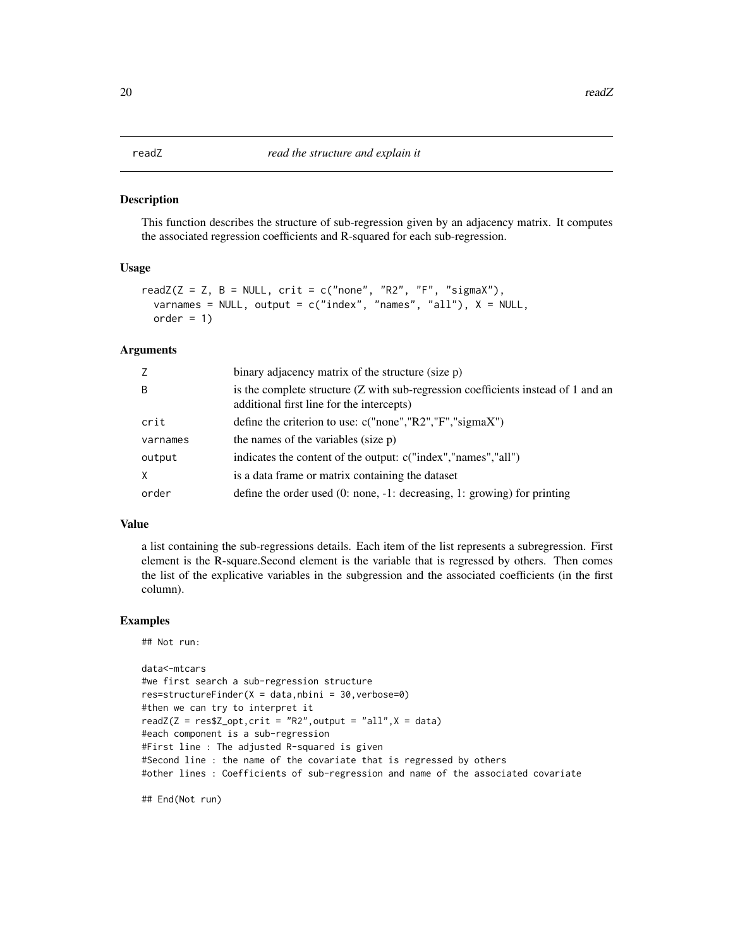#### <span id="page-19-0"></span>Description

This function describes the structure of sub-regression given by an adjacency matrix. It computes the associated regression coefficients and R-squared for each sub-regression.

#### Usage

```
readZ(Z = Z, B = NULL, crit = c("none", "R2", "F", "sigmaX"),varnames = NULL, output = c("index", "names", "all"), X = NULL,order = 1)
```
#### Arguments

| Z        | binary adjacency matrix of the structure (size p)                                                                              |
|----------|--------------------------------------------------------------------------------------------------------------------------------|
| B        | is the complete structure (Z with sub-regression coefficients instead of 1 and an<br>additional first line for the intercepts) |
| crit     | define the criterion to use: $c("none", "R2", "F", "sigmaX")$                                                                  |
| varnames | the names of the variables (size p)                                                                                            |
| output   | indicates the content of the output: c("index","names","all")                                                                  |
| X        | is a data frame or matrix containing the dataset                                                                               |
| order    | define the order used $(0: none, -1: decreasing, 1: growing)$ for printing                                                     |

#### Value

a list containing the sub-regressions details. Each item of the list represents a subregression. First element is the R-square.Second element is the variable that is regressed by others. Then comes the list of the explicative variables in the subgression and the associated coefficients (in the first column).

#### Examples

```
## Not run:
```

```
data<-mtcars
#we first search a sub-regression structure
res=structureFinder(X = data, nbini = 30, verbose=0)#then we can try to interpret it
readZ(Z = \text{res$Z-opt}, \text{crit} = \text{"R2"}, output = "all",X = \text{data})
#each component is a sub-regression
#First line : The adjusted R-squared is given
#Second line : the name of the covariate that is regressed by others
#other lines : Coefficients of sub-regression and name of the associated covariate
```
## End(Not run)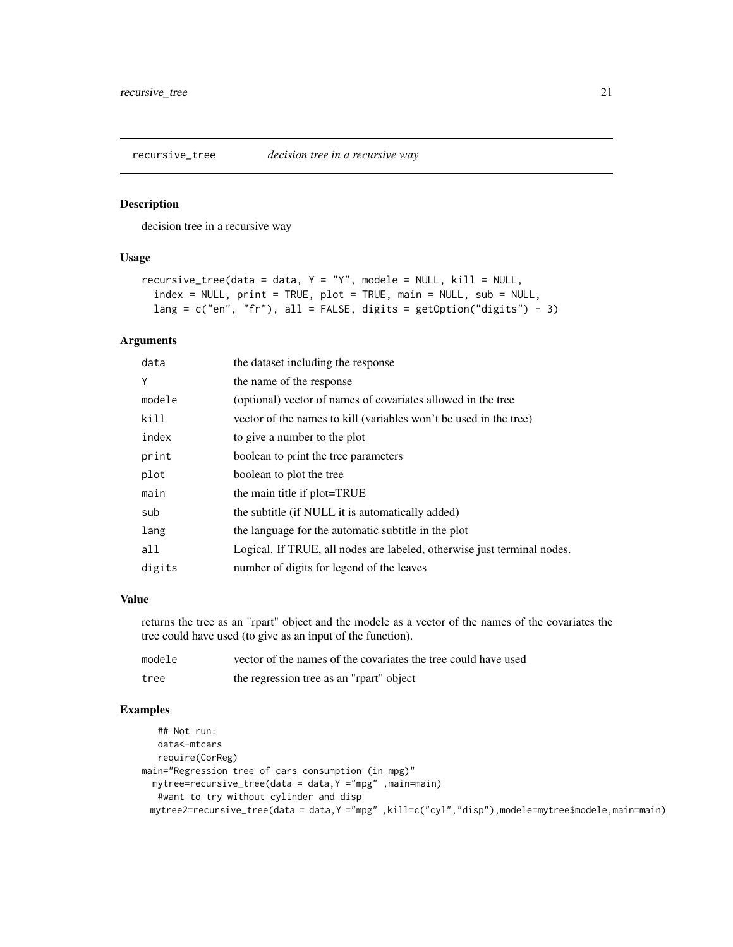<span id="page-20-0"></span>

#### Description

decision tree in a recursive way

#### Usage

```
recursive_tree(data = data, Y = "Y", modele = NULL, kill = NULL,index = NULL, print = TRUE, plot = TRUE, main = NULL, sub = NULL,
 lang = c("en", "fr"), all = FALSE, digits = getOption("digits") - 3)
```
#### Arguments

| data   | the dataset including the response                                      |
|--------|-------------------------------------------------------------------------|
| Y      | the name of the response                                                |
| modele | (optional) vector of names of covariates allowed in the tree            |
| kill   | vector of the names to kill (variables won't be used in the tree)       |
| index  | to give a number to the plot                                            |
| print  | boolean to print the tree parameters                                    |
| plot   | boolean to plot the tree                                                |
| main   | the main title if plot=TRUE                                             |
| sub    | the subtitle (if NULL it is automatically added)                        |
| lang   | the language for the automatic subtitle in the plot                     |
| all    | Logical. If TRUE, all nodes are labeled, otherwise just terminal nodes. |
| digits | number of digits for legend of the leaves                               |

#### Value

returns the tree as an "rpart" object and the modele as a vector of the names of the covariates the tree could have used (to give as an input of the function).

| modele | vector of the names of the covariates the tree could have used |
|--------|----------------------------------------------------------------|
| tree   | the regression tree as an "rpart" object                       |

## Examples

```
## Not run:
   data<-mtcars
   require(CorReg)
main="Regression tree of cars consumption (in mpg)"
  mytree=recursive_tree(data = data,Y ="mpg" ,main=main)
  #want to try without cylinder and disp
 mytree2=recursive_tree(data = data,Y ="mpg" ,kill=c("cyl","disp"),modele=mytree$modele,main=main)
```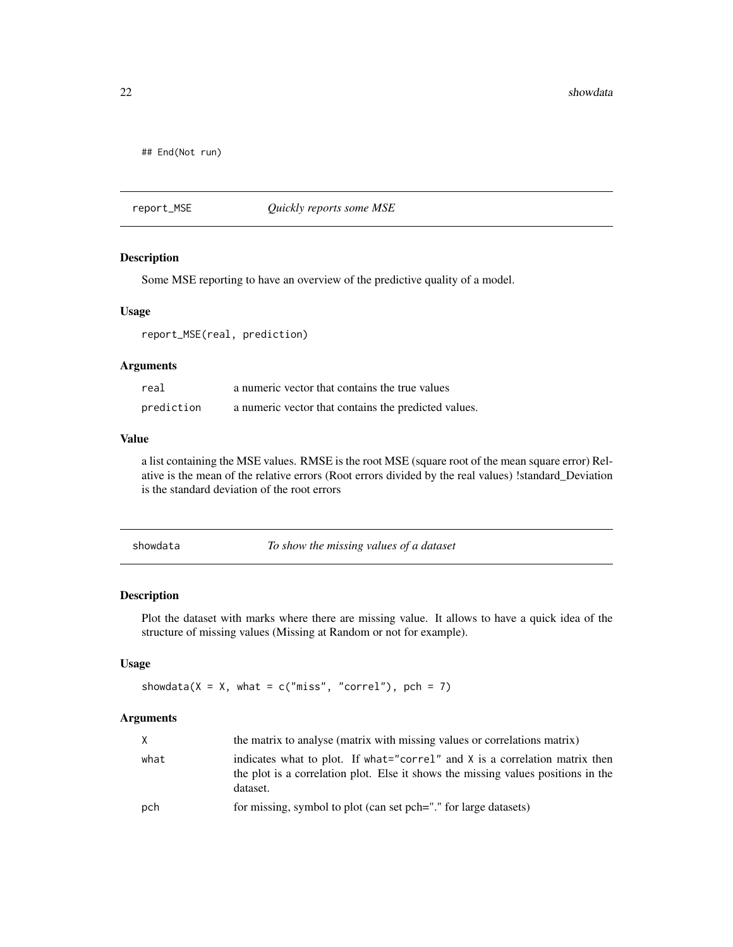<span id="page-21-0"></span>22 showdata and the state of the state of the state of the state of the state of the state of the state of the state of the state of the state of the state of the state of the state of the state of the state of the state o

## End(Not run)

report\_MSE *Quickly reports some MSE*

## Description

Some MSE reporting to have an overview of the predictive quality of a model.

## Usage

report\_MSE(real, prediction)

## Arguments

| real       | a numeric vector that contains the true values       |
|------------|------------------------------------------------------|
| prediction | a numeric vector that contains the predicted values. |

## Value

a list containing the MSE values. RMSE is the root MSE (square root of the mean square error) Relative is the mean of the relative errors (Root errors divided by the real values) !standard\_Deviation is the standard deviation of the root errors

| showdata |  |
|----------|--|
|----------|--|

To show the missing values of a dataset

#### Description

Plot the dataset with marks where there are missing value. It allows to have a quick idea of the structure of missing values (Missing at Random or not for example).

## Usage

showdata( $X = X$ , what = c("miss", "correl"), pch = 7)

| $\times$ | the matrix to analyse (matrix with missing values or correlations matrix)                                                                                                      |
|----------|--------------------------------------------------------------------------------------------------------------------------------------------------------------------------------|
| what     | indicates what to plot. If what="correl" and $X$ is a correlation matrix then<br>the plot is a correlation plot. Else it shows the missing values positions in the<br>dataset. |
| pch      | for missing, symbol to plot (can set pch="" for large datasets)                                                                                                                |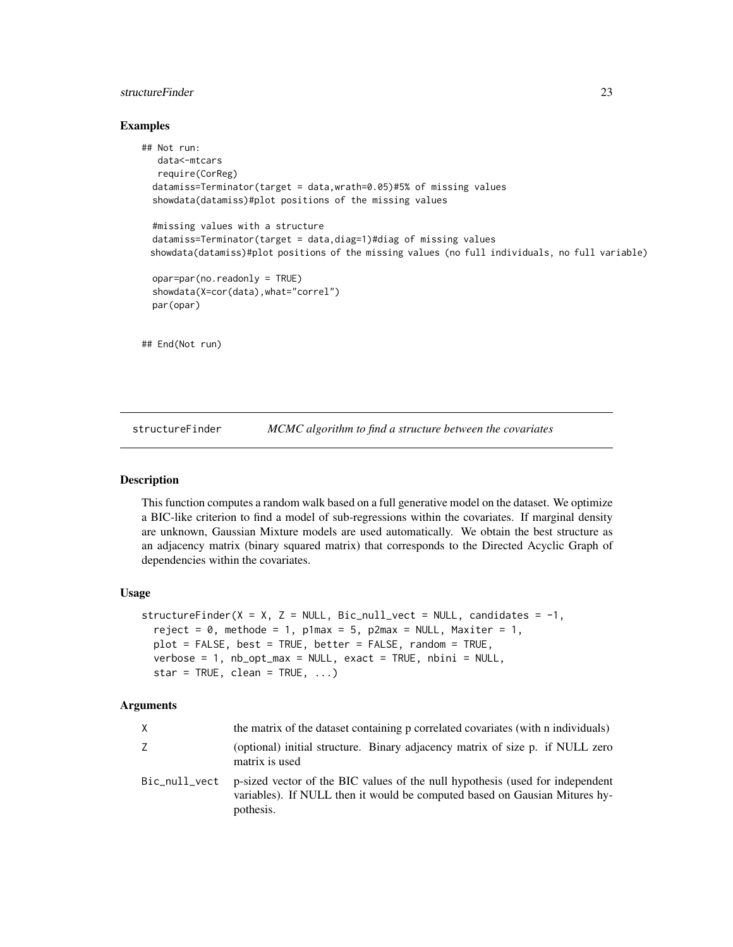## <span id="page-22-0"></span>structureFinder 23

#### Examples

```
## Not run:
  data<-mtcars
  require(CorReg)
 datamiss=Terminator(target = data,wrath=0.05)#5% of missing values
 showdata(datamiss)#plot positions of the missing values
 #missing values with a structure
 datamiss=Terminator(target = data,diag=1)#diag of missing values
 showdata(datamiss)#plot positions of the missing values (no full individuals, no full variable)
 opar=par(no.readonly = TRUE)
 showdata(X=cor(data),what="correl")
 par(opar)
## End(Not run)
```
structureFinder *MCMC algorithm to find a structure between the covariates*

## **Description**

This function computes a random walk based on a full generative model on the dataset. We optimize a BIC-like criterion to find a model of sub-regressions within the covariates. If marginal density are unknown, Gaussian Mixture models are used automatically. We obtain the best structure as an adjacency matrix (binary squared matrix) that corresponds to the Directed Acyclic Graph of dependencies within the covariates.

#### Usage

```
structureFinder(X = X, Z = NULL, Bic_null_vect = NULL, candidates = -1,
  reject = \theta, methode = 1, p1max = 5, p2max = NULL, Maxiter = 1,
  plot = FALSE, best = TRUE, better = FALSE, random = TRUE,
  verbose = 1, nb_opt_max = NULL, exact = TRUE, nbini = NULL,
  star = TRUE, clean = TRUE, \ldots)
```

| X             | the matrix of the dataset containing p correlated covariates (with n individuals)                                                                                        |
|---------------|--------------------------------------------------------------------------------------------------------------------------------------------------------------------------|
| Z.            | (optional) initial structure. Binary adjacency matrix of size p. if NULL zero<br>matrix is used                                                                          |
| Bic_null_vect | p-sized vector of the BIC values of the null hypothesis (used for independent<br>variables). If NULL then it would be computed based on Gausian Mitures hy-<br>pothesis. |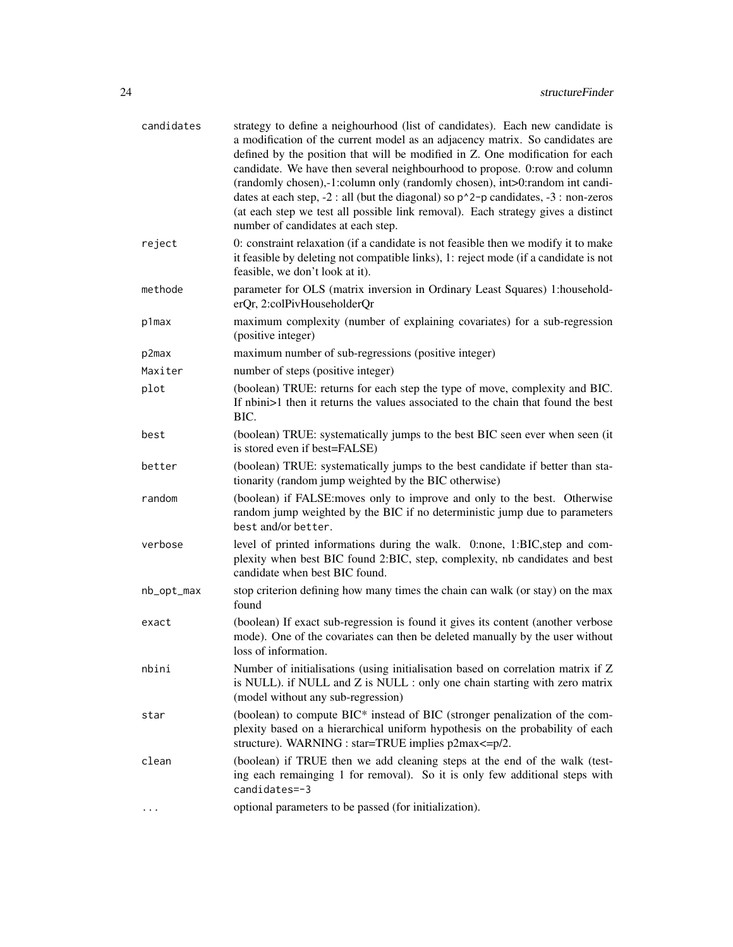| candidates | strategy to define a neighourhood (list of candidates). Each new candidate is<br>a modification of the current model as an adjacency matrix. So candidates are<br>defined by the position that will be modified in Z. One modification for each<br>candidate. We have then several neighbourhood to propose. 0:row and column<br>(randomly chosen),-1:column only (randomly chosen), int>0:random int candi-<br>dates at each step, $-2$ : all (but the diagonal) so $p^2$ -p candidates, $-3$ : non-zeros<br>(at each step we test all possible link removal). Each strategy gives a distinct<br>number of candidates at each step. |
|------------|--------------------------------------------------------------------------------------------------------------------------------------------------------------------------------------------------------------------------------------------------------------------------------------------------------------------------------------------------------------------------------------------------------------------------------------------------------------------------------------------------------------------------------------------------------------------------------------------------------------------------------------|
| reject     | 0: constraint relaxation (if a candidate is not feasible then we modify it to make<br>it feasible by deleting not compatible links), 1: reject mode (if a candidate is not<br>feasible, we don't look at it).                                                                                                                                                                                                                                                                                                                                                                                                                        |
| methode    | parameter for OLS (matrix inversion in Ordinary Least Squares) 1:household-<br>erQr, 2:colPivHouseholderQr                                                                                                                                                                                                                                                                                                                                                                                                                                                                                                                           |
| p1max      | maximum complexity (number of explaining covariates) for a sub-regression<br>(positive integer)                                                                                                                                                                                                                                                                                                                                                                                                                                                                                                                                      |
| p2max      | maximum number of sub-regressions (positive integer)                                                                                                                                                                                                                                                                                                                                                                                                                                                                                                                                                                                 |
| Maxiter    | number of steps (positive integer)                                                                                                                                                                                                                                                                                                                                                                                                                                                                                                                                                                                                   |
| plot       | (boolean) TRUE: returns for each step the type of move, complexity and BIC.<br>If nbini>1 then it returns the values associated to the chain that found the best<br>BIC.                                                                                                                                                                                                                                                                                                                                                                                                                                                             |
| best       | (boolean) TRUE: systematically jumps to the best BIC seen ever when seen (it<br>is stored even if best=FALSE)                                                                                                                                                                                                                                                                                                                                                                                                                                                                                                                        |
| better     | (boolean) TRUE: systematically jumps to the best candidate if better than sta-<br>tionarity (random jump weighted by the BIC otherwise)                                                                                                                                                                                                                                                                                                                                                                                                                                                                                              |
| random     | (boolean) if FALSE: moves only to improve and only to the best. Otherwise<br>random jump weighted by the BIC if no deterministic jump due to parameters<br>best and/or better.                                                                                                                                                                                                                                                                                                                                                                                                                                                       |
| verbose    | level of printed informations during the walk. 0:none, 1:BIC, step and com-<br>plexity when best BIC found 2:BIC, step, complexity, nb candidates and best<br>candidate when best BIC found.                                                                                                                                                                                                                                                                                                                                                                                                                                         |
| nb_opt_max | stop criterion defining how many times the chain can walk (or stay) on the max<br>found                                                                                                                                                                                                                                                                                                                                                                                                                                                                                                                                              |
| exact      | (boolean) If exact sub-regression is found it gives its content (another verbose<br>mode). One of the covariates can then be deleted manually by the user without<br>loss of information.                                                                                                                                                                                                                                                                                                                                                                                                                                            |
| nbini      | Number of initialisations (using initialisation based on correlation matrix if Z<br>is NULL). if NULL and Z is NULL : only one chain starting with zero matrix<br>(model without any sub-regression)                                                                                                                                                                                                                                                                                                                                                                                                                                 |
| star       | (boolean) to compute BIC* instead of BIC (stronger penalization of the com-<br>plexity based on a hierarchical uniform hypothesis on the probability of each<br>structure). WARNING : star=TRUE implies p2max<=p/2.                                                                                                                                                                                                                                                                                                                                                                                                                  |
| clean      | (boolean) if TRUE then we add cleaning steps at the end of the walk (test-<br>ing each remainging 1 for removal). So it is only few additional steps with<br>candidates=-3                                                                                                                                                                                                                                                                                                                                                                                                                                                           |
| $\cdots$   | optional parameters to be passed (for initialization).                                                                                                                                                                                                                                                                                                                                                                                                                                                                                                                                                                               |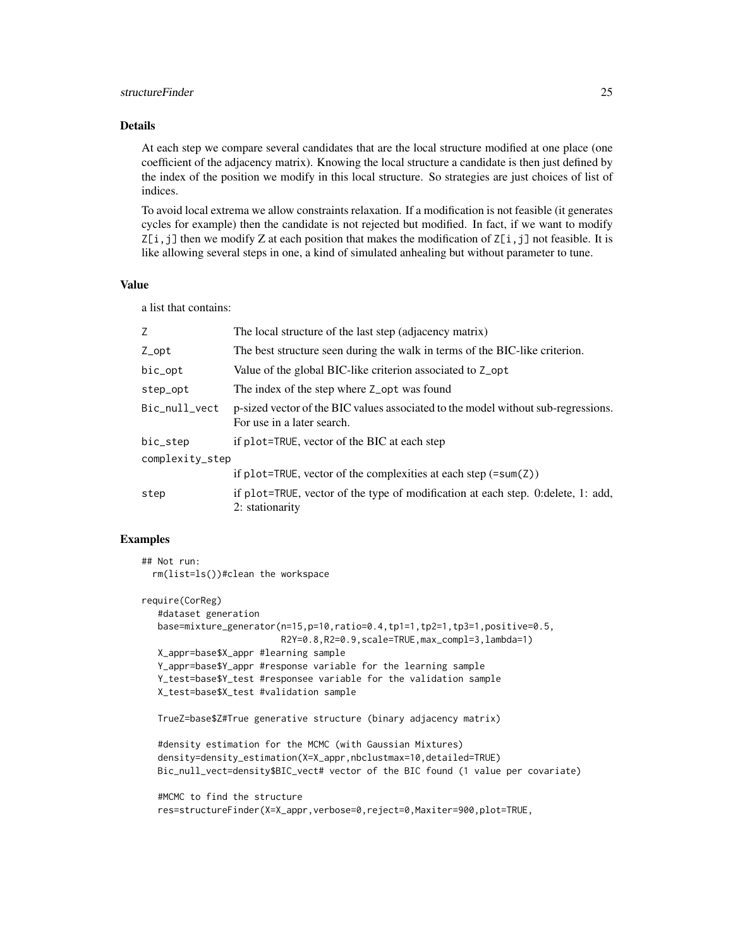## structureFinder 25

## Details

At each step we compare several candidates that are the local structure modified at one place (one coefficient of the adjacency matrix). Knowing the local structure a candidate is then just defined by the index of the position we modify in this local structure. So strategies are just choices of list of indices.

To avoid local extrema we allow constraints relaxation. If a modification is not feasible (it generates cycles for example) then the candidate is not rejected but modified. In fact, if we want to modify  $Z[i, j]$  then we modify Z at each position that makes the modification of  $Z[i, j]$  not feasible. It is like allowing several steps in one, a kind of simulated anhealing but without parameter to tune.

#### Value

a list that contains:

| Z.              | The local structure of the last step (adjacency matrix)                                                         |  |
|-----------------|-----------------------------------------------------------------------------------------------------------------|--|
| Z_opt           | The best structure seen during the walk in terms of the BIC-like criterion.                                     |  |
| bic_opt         | Value of the global BIC-like criterion associated to Z_opt                                                      |  |
| step_opt        | The index of the step where Z_opt was found                                                                     |  |
| Bic_null_vect   | p-sized vector of the BIC values associated to the model without sub-regressions.<br>For use in a later search. |  |
| bic_step        | if plot=TRUE, vector of the BIC at each step                                                                    |  |
| complexity_step |                                                                                                                 |  |
|                 | if plot=TRUE, vector of the complexities at each step $(=\text{sum}(Z))$                                        |  |
| step            | if plot=TRUE, vector of the type of modification at each step. 0: delete, 1: add,<br>2: stationarity            |  |

#### Examples

## Not run: rm(list=ls())#clean the workspace

```
require(CorReg)
   #dataset generation
  base=mixture_generator(n=15,p=10,ratio=0.4,tp1=1,tp2=1,tp3=1,positive=0.5,
                          R2Y=0.8,R2=0.9,scale=TRUE,max_compl=3,lambda=1)
  X_appr=base$X_appr #learning sample
  Y_appr=base$Y_appr #response variable for the learning sample
  Y_test=base$Y_test #responsee variable for the validation sample
  X_test=base$X_test #validation sample
```

```
TrueZ=base$Z#True generative structure (binary adjacency matrix)
```
#density estimation for the MCMC (with Gaussian Mixtures) density=density\_estimation(X=X\_appr,nbclustmax=10,detailed=TRUE) Bic\_null\_vect=density\$BIC\_vect# vector of the BIC found (1 value per covariate)

#MCMC to find the structure res=structureFinder(X=X\_appr,verbose=0,reject=0,Maxiter=900,plot=TRUE,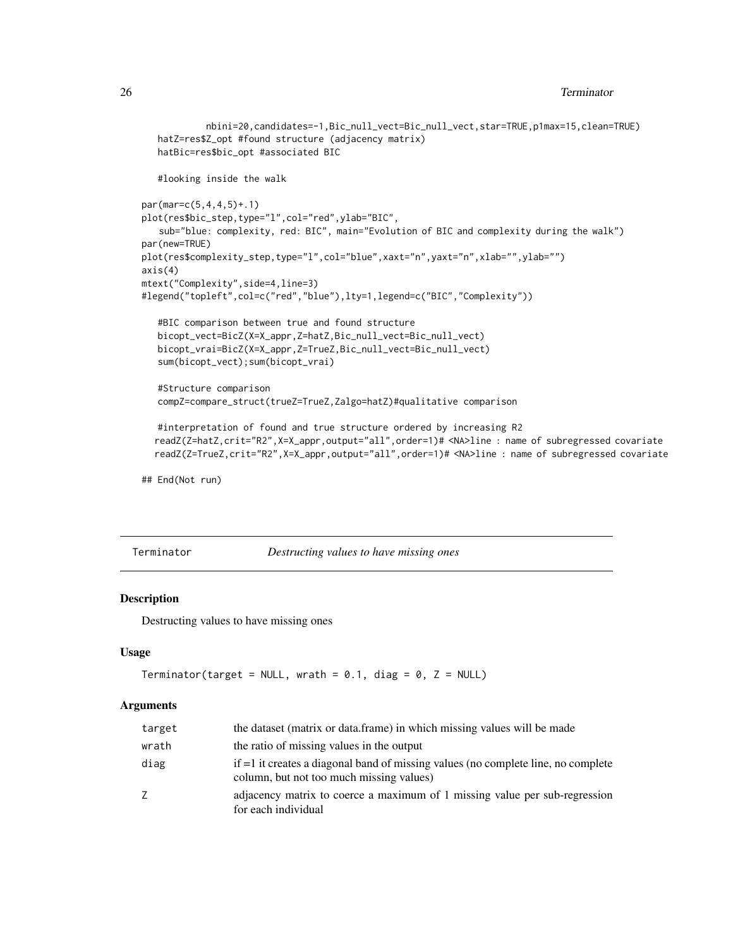```
nbini=20,candidates=-1,Bic_null_vect=Bic_null_vect,star=TRUE,p1max=15,clean=TRUE)
  hatZ=res$Z_opt #found structure (adjacency matrix)
  hatBic=res$bic_opt #associated BIC
   #looking inside the walk
par(mar=c(5,4,4,5)+.1)
plot(res$bic_step,type="l",col="red",ylab="BIC",
   sub="blue: complexity, red: BIC", main="Evolution of BIC and complexity during the walk")
par(new=TRUE)
plot(res$complexity_step,type="l",col="blue",xaxt="n",yaxt="n",xlab="",ylab="")
axis(4)
mtext("Complexity",side=4,line=3)
#legend("topleft",col=c("red","blue"),lty=1,legend=c("BIC","Complexity"))
   #BIC comparison between true and found structure
  bicopt_vect=BicZ(X=X_appr,Z=hatZ,Bic_null_vect=Bic_null_vect)
  bicopt_vrai=BicZ(X=X_appr,Z=TrueZ,Bic_null_vect=Bic_null_vect)
   sum(bicopt_vect);sum(bicopt_vrai)
   #Structure comparison
  compZ=compare_struct(trueZ=TrueZ,Zalgo=hatZ)#qualitative comparison
  #interpretation of found and true structure ordered by increasing R2
  readZ(Z=hatZ,crit="R2",X=X_appr,output="all",order=1)# <NA>line : name of subregressed covariate
  readZ(Z=TrueZ,crit="R2",X=X_appr,output="all",order=1)# <NA>line : name of subregressed covariate
```
## End(Not run)

Terminator *Destructing values to have missing ones*

## Description

Destructing values to have missing ones

#### Usage

```
Terminator(target = NULL, wrath = 0.1, diag = 0, Z = NULL)
```

| target | the dataset (matrix or data, frame) in which missing values will be made                                                      |
|--------|-------------------------------------------------------------------------------------------------------------------------------|
| wrath  | the ratio of missing values in the output                                                                                     |
| diag   | if =1 it creates a diagonal band of missing values (no complete line, no complete<br>column, but not too much missing values) |
| Ζ      | adjacency matrix to coerce a maximum of 1 missing value per sub-regression<br>for each individual                             |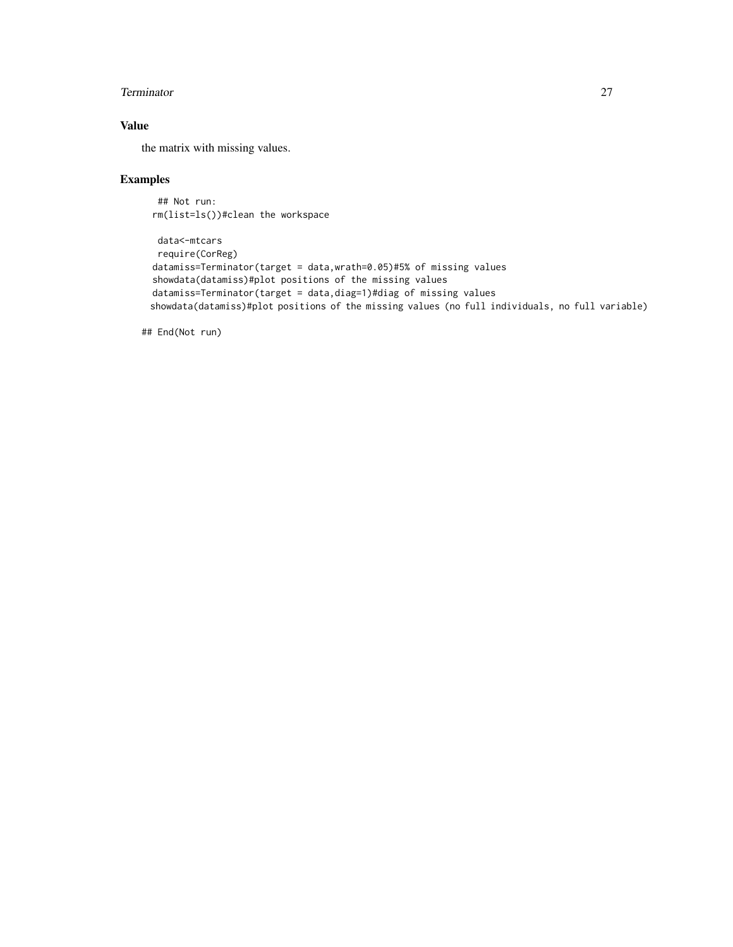#### Terminator 27

## Value

the matrix with missing values.

## Examples

## Not run: rm(list=ls())#clean the workspace

```
data<-mtcars
 require(CorReg)
datamiss=Terminator(target = data,wrath=0.05)#5% of missing values
showdata(datamiss)#plot positions of the missing values
datamiss=Terminator(target = data,diag=1)#diag of missing values
showdata(datamiss)#plot positions of the missing values (no full individuals, no full variable)
```
## End(Not run)